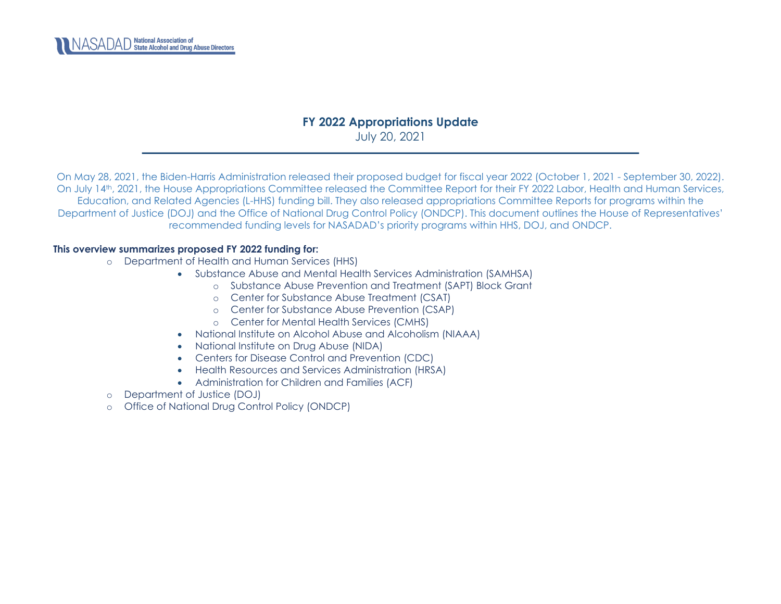

## **FY 2022 Appropriations Update**  July 20, 2021

On May 28, 2021, the Biden-Harris Administration released their proposed budget for fiscal year 2022 (October 1, 2021 - September 30, 2022). On July 14th, 2021, the House Appropriations Committee released the Committee Report for their FY 2022 Labor, Health and Human Services, Education, and Related Agencies (L-HHS) funding bill. They also released appropriations Committee Reports for programs within the Department of Justice (DOJ) and the Office of National Drug Control Policy (ONDCP). This document outlines the House of Representatives' recommended funding levels for NASADAD's priority programs within HHS, DOJ, and ONDCP.

### **This overview summarizes proposed FY 2022 funding for:**

- o Department of Health and Human Services (HHS)
	- Substance Abuse and Mental Health Services Administration (SAMHSA)
		- o [Substance Abuse Prevention and Treatment \(SAPT\) Block Grant](#page-1-0)
		- o [Center for Substance Abuse Treatment \(CSAT\)](#page-5-0)
		- o [Center for Substance Abuse Prevention \(CSAP\)](#page-8-0)
		- o [Center for Mental Health Services \(CMHS\)](#page-16-0)
	- [National Institute on Alcohol Abuse and Alcoholism \(NIAAA\)](#page-25-0)
	- [National Institute on Drug Abuse \(NIDA\)](#page-25-1)
	- [Centers for Disease Control and Prevention \(CDC\)](#page-25-2)
	- [Health Resources and Services Administration \(HRSA\)](#page-29-0)
	- Administration for Children and Families (ACF)
- o [Department of Justice \(DOJ\)](#page-32-0)
- o [Office of National Drug Control Policy \(ONDCP\)](#page-34-0)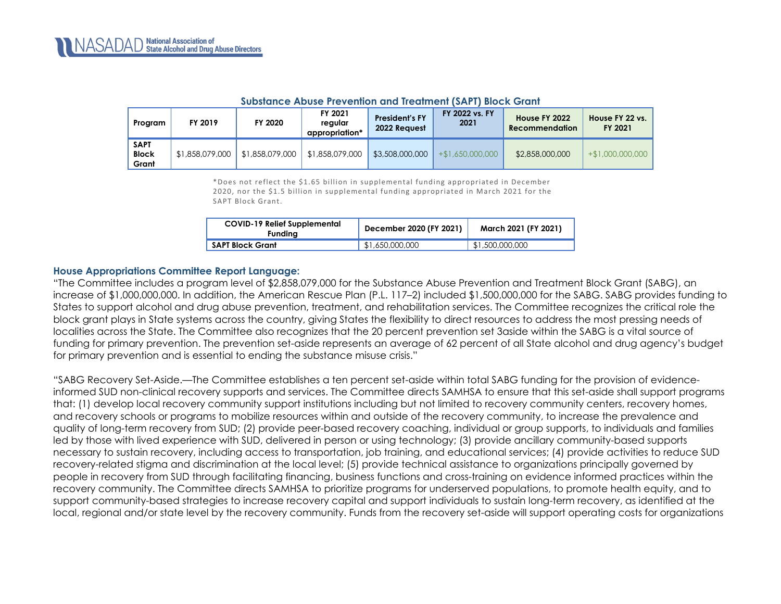<span id="page-1-0"></span>

| Program                              | FY 2019         | FY 2020                     | FY 2021<br>regular<br>appropriation* | <b>President's FY</b><br>2022 Reauest | FY 2022 vs. FY<br>2021 | House FY 2022<br>Recommendation | House FY 22 vs.<br>FY 2021 |
|--------------------------------------|-----------------|-----------------------------|--------------------------------------|---------------------------------------|------------------------|---------------------------------|----------------------------|
| <b>SAPT</b><br><b>Block</b><br>Grant | \$1,858,079,000 | $\parallel$ \$1.858.079.000 | \$1,858,079,000                      | \$3,508,000,000                       | $+$ \$1,650,000,000    | \$2,858,000,000                 | $+$ \$1,000,000,000        |

#### **Substance Abuse Prevention and Treatment (SAPT) Block Grant**

\*Does not reflect the \$1.65 billion in supplemental funding appropriated in December 2020, nor the \$1.5 billion in supplemental funding appropriated in March 2021 for the SAPT Block Grant.

| <b>COVID-19 Relief Supplemental</b><br><b>Funding</b> | December 2020 (FY 2021) | March 2021 (FY 2021) |  |
|-------------------------------------------------------|-------------------------|----------------------|--|
| SAPT Block Grant                                      | \$1,650,000,000         | \$1,500,000,000      |  |

#### **House Appropriations Committee Report Language:**

"The Committee includes a program level of \$2,858,079,000 for the Substance Abuse Prevention and Treatment Block Grant (SABG), an increase of \$1,000,000,000. In addition, the American Rescue Plan (P.L. 117–2) included \$1,500,000,000 for the SABG. SABG provides funding to States to support alcohol and drug abuse prevention, treatment, and rehabilitation services. The Committee recognizes the critical role the block grant plays in State systems across the country, giving States the flexibility to direct resources to address the most pressing needs of localities across the State. The Committee also recognizes that the 20 percent prevention set 3aside within the SABG is a vital source of funding for primary prevention. The prevention set-aside represents an average of 62 percent of all State alcohol and drug agency's budget for primary prevention and is essential to ending the substance misuse crisis."

"SABG Recovery Set-Aside.—The Committee establishes a ten percent set-aside within total SABG funding for the provision of evidenceinformed SUD non-clinical recovery supports and services. The Committee directs SAMHSA to ensure that this set-aside shall support programs that: (1) develop local recovery community support institutions including but not limited to recovery community centers, recovery homes, and recovery schools or programs to mobilize resources within and outside of the recovery community, to increase the prevalence and quality of long-term recovery from SUD; (2) provide peer-based recovery coaching, individual or group supports, to individuals and families led by those with lived experience with SUD, delivered in person or using technology; (3) provide ancillary community-based supports necessary to sustain recovery, including access to transportation, job training, and educational services; (4) provide activities to reduce SUD recovery-related stigma and discrimination at the local level; (5) provide technical assistance to organizations principally governed by people in recovery from SUD through facilitating financing, business functions and cross-training on evidence informed practices within the recovery community. The Committee directs SAMHSA to prioritize programs for underserved populations, to promote health equity, and to support community-based strategies to increase recovery capital and support individuals to sustain long-term recovery, as identified at the local, regional and/or state level by the recovery community. Funds from the recovery set-aside will support operating costs for organizations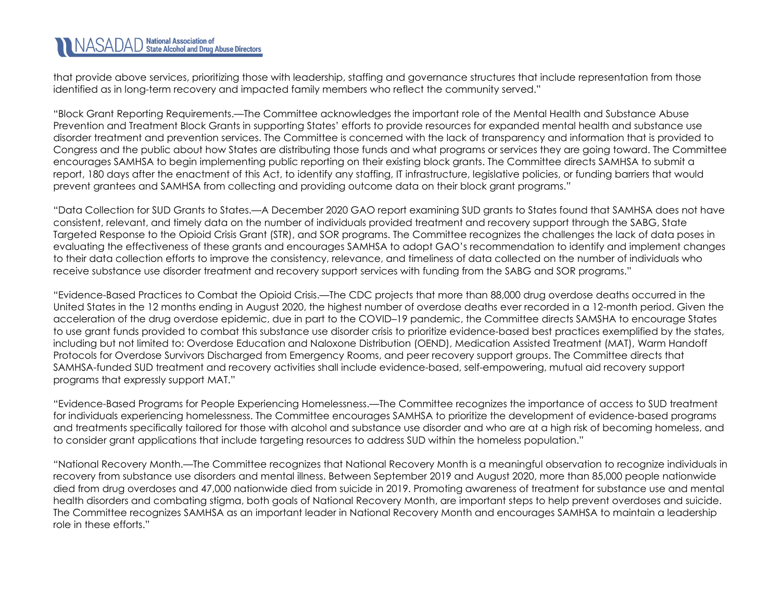that provide above services, prioritizing those with leadership, staffing and governance structures that include representation from those identified as in long-term recovery and impacted family members who reflect the community served."

"Block Grant Reporting Requirements.—The Committee acknowledges the important role of the Mental Health and Substance Abuse Prevention and Treatment Block Grants in supporting States' efforts to provide resources for expanded mental health and substance use disorder treatment and prevention services. The Committee is concerned with the lack of transparency and information that is provided to Congress and the public about how States are distributing those funds and what programs or services they are going toward. The Committee encourages SAMHSA to begin implementing public reporting on their existing block grants. The Committee directs SAMHSA to submit a report, 180 days after the enactment of this Act, to identify any staffing, IT infrastructure, legislative policies, or funding barriers that would prevent grantees and SAMHSA from collecting and providing outcome data on their block grant programs."

"Data Collection for SUD Grants to States.—A December 2020 GAO report examining SUD grants to States found that SAMHSA does not have consistent, relevant, and timely data on the number of individuals provided treatment and recovery support through the SABG, State Targeted Response to the Opioid Crisis Grant (STR), and SOR programs. The Committee recognizes the challenges the lack of data poses in evaluating the effectiveness of these grants and encourages SAMHSA to adopt GAO's recommendation to identify and implement changes to their data collection efforts to improve the consistency, relevance, and timeliness of data collected on the number of individuals who receive substance use disorder treatment and recovery support services with funding from the SABG and SOR programs."

"Evidence-Based Practices to Combat the Opioid Crisis.—The CDC projects that more than 88,000 drug overdose deaths occurred in the United States in the 12 months ending in August 2020, the highest number of overdose deaths ever recorded in a 12-month period. Given the acceleration of the drug overdose epidemic, due in part to the COVID–19 pandemic, the Committee directs SAMSHA to encourage States to use grant funds provided to combat this substance use disorder crisis to prioritize evidence-based best practices exemplified by the states, including but not limited to: Overdose Education and Naloxone Distribution (OEND), Medication Assisted Treatment (MAT), Warm Handoff Protocols for Overdose Survivors Discharged from Emergency Rooms, and peer recovery support groups. The Committee directs that SAMHSA-funded SUD treatment and recovery activities shall include evidence-based, self-empowering, mutual aid recovery support programs that expressly support MAT."

"Evidence-Based Programs for People Experiencing Homelessness.—The Committee recognizes the importance of access to SUD treatment for individuals experiencing homelessness. The Committee encourages SAMHSA to prioritize the development of evidence-based programs and treatments specifically tailored for those with alcohol and substance use disorder and who are at a high risk of becoming homeless, and to consider grant applications that include targeting resources to address SUD within the homeless population."

"National Recovery Month.—The Committee recognizes that National Recovery Month is a meaningful observation to recognize individuals in recovery from substance use disorders and mental illness. Between September 2019 and August 2020, more than 85,000 people nationwide died from drug overdoses and 47,000 nationwide died from suicide in 2019. Promoting awareness of treatment for substance use and mental health disorders and combating stigma, both goals of National Recovery Month, are important steps to help prevent overdoses and suicide. The Committee recognizes SAMHSA as an important leader in National Recovery Month and encourages SAMHSA to maintain a leadership role in these efforts."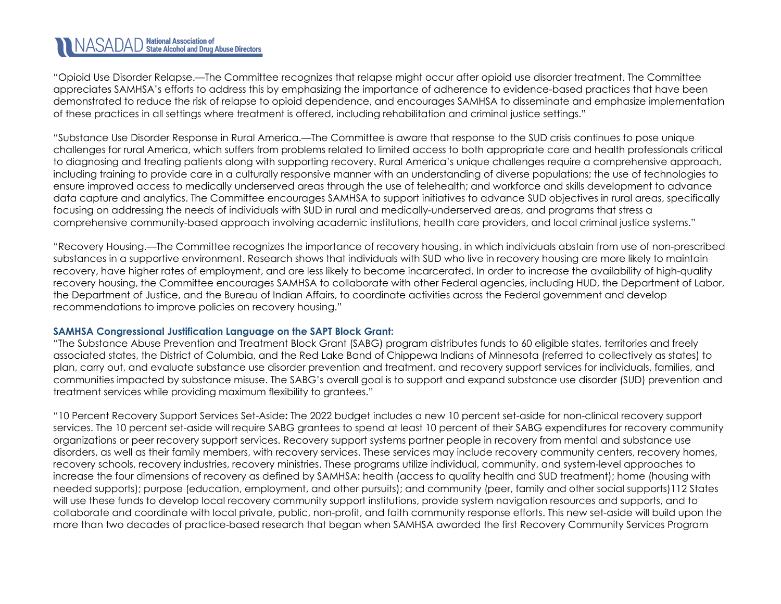# NASADAD State Alcohol and Drug Abuse Directors

"Opioid Use Disorder Relapse.—The Committee recognizes that relapse might occur after opioid use disorder treatment. The Committee appreciates SAMHSA's efforts to address this by emphasizing the importance of adherence to evidence-based practices that have been demonstrated to reduce the risk of relapse to opioid dependence, and encourages SAMHSA to disseminate and emphasize implementation of these practices in all settings where treatment is offered, including rehabilitation and criminal justice settings."

"Substance Use Disorder Response in Rural America.—The Committee is aware that response to the SUD crisis continues to pose unique challenges for rural America, which suffers from problems related to limited access to both appropriate care and health professionals critical to diagnosing and treating patients along with supporting recovery. Rural America's unique challenges require a comprehensive approach, including training to provide care in a culturally responsive manner with an understanding of diverse populations; the use of technologies to ensure improved access to medically underserved areas through the use of telehealth; and workforce and skills development to advance data capture and analytics. The Committee encourages SAMHSA to support initiatives to advance SUD objectives in rural areas, specifically focusing on addressing the needs of individuals with SUD in rural and medically-underserved areas, and programs that stress a comprehensive community-based approach involving academic institutions, health care providers, and local criminal justice systems."

"Recovery Housing.—The Committee recognizes the importance of recovery housing, in which individuals abstain from use of non-prescribed substances in a supportive environment. Research shows that individuals with SUD who live in recovery housing are more likely to maintain recovery, have higher rates of employment, and are less likely to become incarcerated. In order to increase the availability of high-quality recovery housing, the Committee encourages SAMHSA to collaborate with other Federal agencies, including HUD, the Department of Labor, the Department of Justice, and the Bureau of Indian Affairs, to coordinate activities across the Federal government and develop recommendations to improve policies on recovery housing."

### **SAMHSA Congressional Justification Language on the SAPT Block Grant:**

"The Substance Abuse Prevention and Treatment Block Grant (SABG) program distributes funds to 60 eligible states, territories and freely associated states, the District of Columbia, and the Red Lake Band of Chippewa Indians of Minnesota (referred to collectively as states) to plan, carry out, and evaluate substance use disorder prevention and treatment, and recovery support services for individuals, families, and communities impacted by substance misuse. The SABG's overall goal is to support and expand substance use disorder (SUD) prevention and treatment services while providing maximum flexibility to grantees."

"10 Percent Recovery Support Services Set-Aside**:** The 2022 budget includes a new 10 percent set-aside for non-clinical recovery support services. The 10 percent set-aside will require SABG grantees to spend at least 10 percent of their SABG expenditures for recovery community organizations or peer recovery support services. Recovery support systems partner people in recovery from mental and substance use disorders, as well as their family members, with recovery services. These services may include recovery community centers, recovery homes, recovery schools, recovery industries, recovery ministries. These programs utilize individual, community, and system-level approaches to increase the four dimensions of recovery as defined by SAMHSA: health (access to quality health and SUD treatment); home (housing with needed supports); purpose (education, employment, and other pursuits); and community (peer, family and other social supports)112 States will use these funds to develop local recovery community support institutions, provide system navigation resources and supports, and to collaborate and coordinate with local private, public, non-profit, and faith community response efforts. This new set-aside will build upon the more than two decades of practice-based research that began when SAMHSA awarded the first Recovery Community Services Program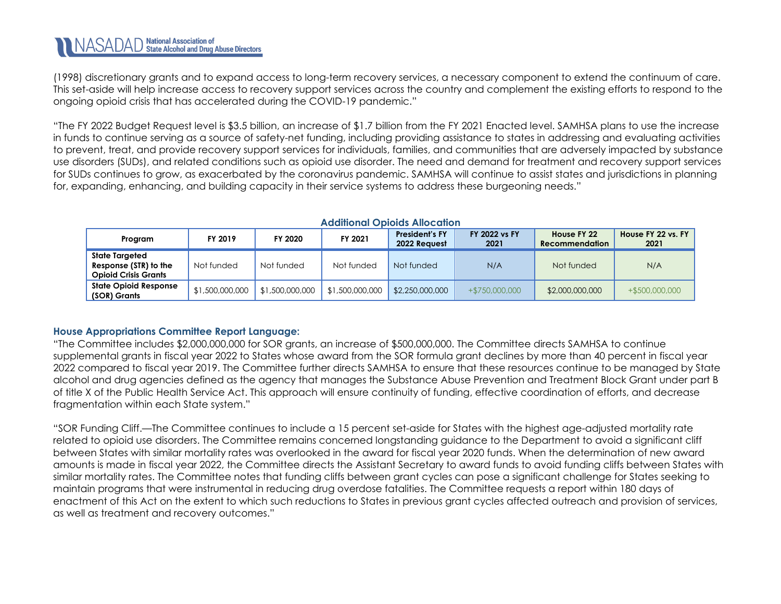(1998) discretionary grants and to expand access to long-term recovery services, a necessary component to extend the continuum of care. This set-aside will help increase access to recovery support services across the country and complement the existing efforts to respond to the ongoing opioid crisis that has accelerated during the COVID-19 pandemic."

"The FY 2022 Budget Request level is \$3.5 billion, an increase of \$1.7 billion from the FY 2021 Enacted level. SAMHSA plans to use the increase in funds to continue serving as a source of safety-net funding, including providing assistance to states in addressing and evaluating activities to prevent, treat, and provide recovery support services for individuals, families, and communities that are adversely impacted by substance use disorders (SUDs), and related conditions such as opioid use disorder. The need and demand for treatment and recovery support services for SUDs continues to grow, as exacerbated by the coronavirus pandemic. SAMHSA will continue to assist states and jurisdictions in planning for, expanding, enhancing, and building capacity in their service systems to address these burgeoning needs."

| Program                                                                | FY 2019         | FY 2020         | FY 2021         | <b>President's FY</b><br>2022 Request | <b>FY 2022 vs FY</b><br>2021 | House FY 22<br>Recommendation | House FY 22 vs. FY<br>2021 |  |  |  |  |  |
|------------------------------------------------------------------------|-----------------|-----------------|-----------------|---------------------------------------|------------------------------|-------------------------------|----------------------------|--|--|--|--|--|
| State Targeted<br>Response (STR) to the<br><b>Opioid Crisis Grants</b> | Not funded      | Not funded      | Not funded      | Not funded                            | N/A                          | Not funded                    | N/A                        |  |  |  |  |  |
| <b>State Opioid Response</b><br>(SOR) Grants                           | \$1,500,000,000 | \$1,500,000,000 | \$1,500,000,000 | \$2,250,000,000                       | $+ $750,000,000$             | \$2,000,000,000               | $+$ \$500,000,000          |  |  |  |  |  |

### **Additional Opioids Allocation**

### **House Appropriations Committee Report Language:**

"The Committee includes \$2,000,000,000 for SOR grants, an increase of \$500,000,000. The Committee directs SAMHSA to continue supplemental grants in fiscal year 2022 to States whose award from the SOR formula grant declines by more than 40 percent in fiscal year 2022 compared to fiscal year 2019. The Committee further directs SAMHSA to ensure that these resources continue to be managed by State alcohol and drug agencies defined as the agency that manages the Substance Abuse Prevention and Treatment Block Grant under part B of title X of the Public Health Service Act. This approach will ensure continuity of funding, effective coordination of efforts, and decrease fragmentation within each State system."

"SOR Funding Cliff.—The Committee continues to include a 15 percent set-aside for States with the highest age-adjusted mortality rate related to opioid use disorders. The Committee remains concerned longstanding guidance to the Department to avoid a significant cliff between States with similar mortality rates was overlooked in the award for fiscal year 2020 funds. When the determination of new award amounts is made in fiscal year 2022, the Committee directs the Assistant Secretary to award funds to avoid funding cliffs between States with similar mortality rates. The Committee notes that funding cliffs between grant cycles can pose a significant challenge for States seeking to maintain programs that were instrumental in reducing drug overdose fatalities. The Committee requests a report within 180 days of enactment of this Act on the extent to which such reductions to States in previous grant cycles affected outreach and provision of services, as well as treatment and recovery outcomes."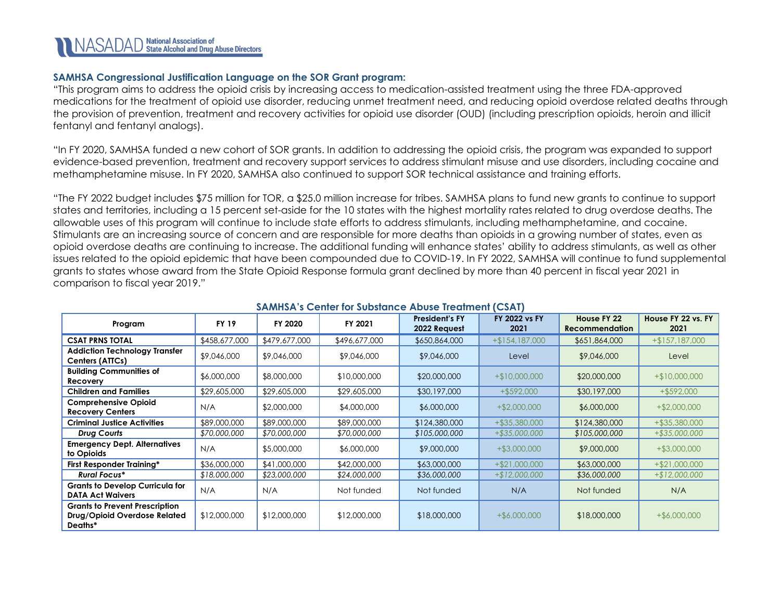### **SAMHSA Congressional Justification Language on the SOR Grant program:**

"This program aims to address the opioid crisis by increasing access to medication-assisted treatment using the three FDA-approved medications for the treatment of opioid use disorder, reducing unmet treatment need, and reducing opioid overdose related deaths through the provision of prevention, treatment and recovery activities for opioid use disorder (OUD) (including prescription opioids, heroin and illicit fentanyl and fentanyl analogs).

"In FY 2020, SAMHSA funded a new cohort of SOR grants. In addition to addressing the opioid crisis, the program was expanded to support evidence-based prevention, treatment and recovery support services to address stimulant misuse and use disorders, including cocaine and methamphetamine misuse. In FY 2020, SAMHSA also continued to support SOR technical assistance and training efforts.

"The FY 2022 budget includes \$75 million for TOR, a \$25.0 million increase for tribes. SAMHSA plans to fund new grants to continue to support states and territories, including a 15 percent set-aside for the 10 states with the highest mortality rates related to drug overdose deaths. The allowable uses of this program will continue to include state efforts to address stimulants, including methamphetamine, and cocaine. Stimulants are an increasing source of concern and are responsible for more deaths than opioids in a growing number of states, even as opioid overdose deaths are continuing to increase. The additional funding will enhance states' ability to address stimulants, as well as other issues related to the opioid epidemic that have been compounded due to COVID-19. In FY 2022, SAMHSA will continue to fund supplemental grants to states whose award from the State Opioid Response formula grant declined by more than 40 percent in fiscal year 2021 in comparison to fiscal year 2019."

<span id="page-5-0"></span>

|                                                                                  | <b>SAMINA'S CENTER TOP SUDSIGITED ADUSE TREGINIERS AT A</b> |               |               |                                       |                              |                                      |                            |  |  |  |
|----------------------------------------------------------------------------------|-------------------------------------------------------------|---------------|---------------|---------------------------------------|------------------------------|--------------------------------------|----------------------------|--|--|--|
| Program                                                                          | <b>FY 19</b>                                                | FY 2020       | FY 2021       | <b>President's FY</b><br>2022 Request | <b>FY 2022 vs FY</b><br>2021 | House FY 22<br><b>Recommendation</b> | House FY 22 vs. FY<br>2021 |  |  |  |
| <b>CSAT PRNS TOTAL</b>                                                           | \$458,677,000                                               | \$479,677,000 | \$496,677,000 | \$650,864,000                         | $+ $154,187,000$             | \$651,864,000                        | $+ $157,187,000$           |  |  |  |
| <b>Addiction Technology Transfer</b><br>Centers (ATTCs)                          | \$9,046,000                                                 | \$9,046,000   | \$9,046,000   | \$9,046,000                           | Level                        | \$9,046,000                          | Level                      |  |  |  |
| <b>Building Communities of</b><br>Recovery                                       | \$6,000,000                                                 | \$8,000,000   | \$10,000,000  | \$20,000,000                          | $+$10,000,000$               | \$20,000,000                         | $+$10,000,000$             |  |  |  |
| <b>Children and Families</b>                                                     | \$29,605,000                                                | \$29,605,000  | \$29,605,000  | \$30,197,000                          | $+$ \$592,000                | \$30,197,000                         | $+$ \$592,000              |  |  |  |
| <b>Comprehensive Opioid</b><br><b>Recovery Centers</b>                           | N/A                                                         | \$2,000,000   | \$4,000,000   | \$6,000,000                           | $+$ \$2,000,000              | \$6,000,000                          | $+$ \$2,000,000            |  |  |  |
| <b>Criminal Justice Activities</b>                                               | \$89,000,000                                                | \$89,000,000  | \$89,000,000  | \$124,380,000                         | $+$ \$35,380,000             | \$124,380,000                        | +\$35,380,000              |  |  |  |
| Drug Courts                                                                      | \$70,000,000                                                | \$70,000,000  | \$70,000,000  | \$105,000,000                         | +\$35,000,000                | \$105,000,000                        | +\$35,000,000              |  |  |  |
| <b>Emergency Dept. Alternatives</b><br>to Opioids                                | N/A                                                         | \$5,000,000   | \$6,000,000   | \$9,000,000                           | $+$ \$3,000,000              | \$9,000,000                          | $+$ \$3,000,000            |  |  |  |
| First Responder Training*                                                        | \$36,000,000                                                | \$41,000,000  | \$42,000,000  | \$63,000,000                          | $+ $21,000,000$              | \$63,000,000                         | $+ $21,000,000$            |  |  |  |
| <b>Rural Focus*</b>                                                              | \$18,000,000                                                | \$23,000,000  | \$24,000,000  | \$36,000,000                          | $+ $12,000,000$              | \$36,000,000                         | $+ $12,000,000$            |  |  |  |
| <b>Grants to Develop Curricula for</b><br><b>DATA Act Waivers</b>                | N/A                                                         | N/A           | Not funded    | Not funded                            | N/A                          | Not funded                           | N/A                        |  |  |  |
| <b>Grants to Prevent Prescription</b><br>Drug/Opioid Overdose Related<br>Deaths* | \$12,000,000                                                | \$12,000,000  | \$12,000,000  | \$18,000,000                          | $+$ \$6,000,000              | \$18,000,000                         | $+$ \$6,000,000            |  |  |  |

### **SAMHSA's Center for Substance Abuse Treatment (CSAT)**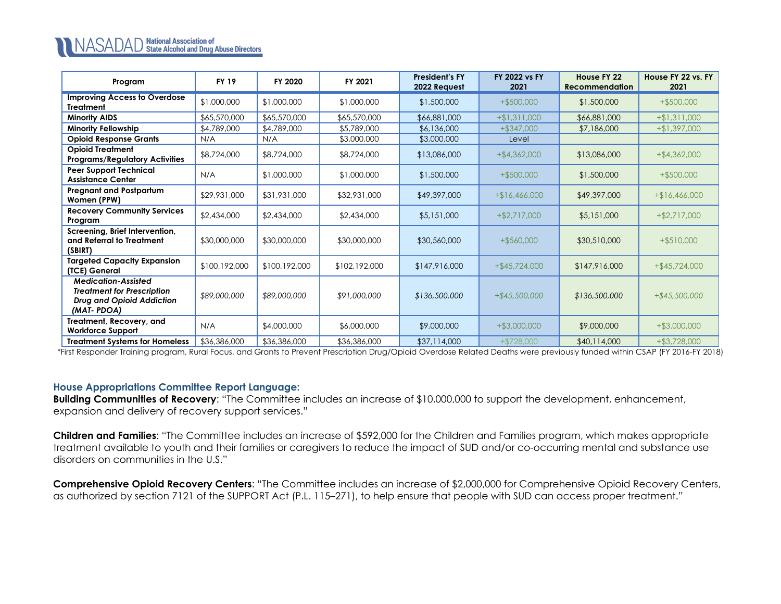| Program                                                                                                    | <b>FY 19</b>  | FY 2020       | FY 2021       | <b>President's FY</b><br>2022 Request | <b>FY 2022 vs FY</b><br>2021 | House FY 22<br><b>Recommendation</b> | House FY 22 vs. FY<br>2021 |
|------------------------------------------------------------------------------------------------------------|---------------|---------------|---------------|---------------------------------------|------------------------------|--------------------------------------|----------------------------|
| <b>Improving Access to Overdose</b><br><b>Treatment</b>                                                    | \$1,000,000   | \$1,000,000   | \$1,000,000   | \$1,500,000                           | $+$ \$500,000                | \$1,500,000                          | $+$ \$500,000              |
| <b>Minority AIDS</b>                                                                                       | \$65,570,000  | \$65,570,000  | \$65,570,000  | \$66,881,000                          | $+ $1,311,000$               | \$66,881,000                         | $+ $1,311,000$             |
| <b>Minority Fellowship</b>                                                                                 | \$4,789,000   | \$4,789,000   | \$5,789,000   | \$6,136,000                           | $+$ \$347,000                | \$7,186,000                          | $+ $1,397,000$             |
| <b>Opioid Response Grants</b>                                                                              | N/A           | N/A           | \$3,000,000   | \$3,000,000                           | Level                        |                                      |                            |
| <b>Opioid Treatment</b><br><b>Programs/Regulatory Activities</b>                                           | \$8,724,000   | \$8,724,000   | \$8,724,000   | \$13,086,000                          | $+$ \$4,362,000              | \$13,086,000                         | $+$ \$4,362,000            |
| <b>Peer Support Technical</b><br><b>Assistance Center</b>                                                  | N/A           | \$1,000,000   | \$1,000,000   | \$1,500,000                           | $+$ \$500,000                | \$1,500,000                          | $+$ \$500,000              |
| <b>Pregnant and Postpartum</b><br>Women (PPW)                                                              | \$29,931,000  | \$31,931,000  | \$32,931,000  | \$49,397,000                          | $+$16,466,000$               | \$49,397,000                         | $+$16,466,000$             |
| <b>Recovery Community Services</b><br>Program                                                              | \$2,434,000   | \$2,434,000   | \$2,434,000   | \$5,151,000                           | $+$ \$2,717,000              | \$5,151,000                          | $+ $2,717,000$             |
| Screening, Brief Intervention,<br>and Referral to Treatment<br>(SBIRT)                                     | \$30,000,000  | \$30,000,000  | \$30,000,000  | \$30,560,000                          | $+$ \$560,000                | \$30,510,000                         | $+$ \$510,000              |
| <b>Targeted Capacity Expansion</b><br>(TCE) General                                                        | \$100,192,000 | \$100,192,000 | \$102,192,000 | \$147,916,000                         | $+$ \$45,724,000             | \$147,916,000                        | $+$ \$45,724,000           |
| <b>Medication-Assisted</b><br><b>Treatment for Prescription</b><br>Drug and Opioid Addiction<br>(MAT-PDOA) | \$89,000,000  | \$89,000,000  | \$91,000,000  | \$136,500,000                         | $+$ \$45,500,000             | \$136,500,000                        | $+ $45,500,000$            |
| Treatment, Recovery, and<br><b>Workforce Support</b>                                                       | N/A           | \$4,000,000   | \$6,000,000   | \$9,000,000                           | $+$ \$3,000,000              | \$9,000,000                          | $+$ \$3,000,000            |
| <b>Treatment Systems for Homeless</b>                                                                      | \$36,386,000  | \$36,386,000  | \$36,386,000  | \$37,114,000                          | $+ $728,000$                 | \$40,114,000                         | $+ $3,728,000$             |

\*First Responder Training program, Rural Focus, and Grants to Prevent Prescription Drug/Opioid Overdose Related Deaths were previously funded within CSAP (FY 2016-FY 2018)

### **House Appropriations Committee Report Language:**

**Building Communities of Recovery**: "The Committee includes an increase of \$10,000,000 to support the development, enhancement, expansion and delivery of recovery support services."

**Children and Families**: "The Committee includes an increase of \$592,000 for the Children and Families program, which makes appropriate treatment available to youth and their families or caregivers to reduce the impact of SUD and/or co-occurring mental and substance use disorders on communities in the U.S."

**Comprehensive Opioid Recovery Centers**: "The Committee includes an increase of \$2,000,000 for Comprehensive Opioid Recovery Centers, as authorized by section 7121 of the SUPPORT Act (P.L. 115–271), to help ensure that people with SUD can access proper treatment."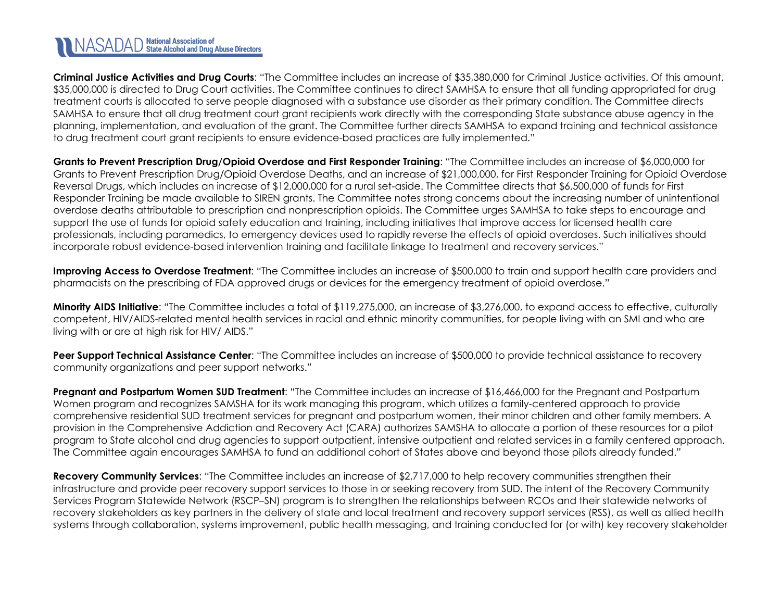**Criminal Justice Activities and Drug Courts**: "The Committee includes an increase of \$35,380,000 for Criminal Justice activities. Of this amount, \$35,000,000 is directed to Drug Court activities. The Committee continues to direct SAMHSA to ensure that all funding appropriated for drug treatment courts is allocated to serve people diagnosed with a substance use disorder as their primary condition. The Committee directs SAMHSA to ensure that all drug treatment court grant recipients work directly with the corresponding State substance abuse agency in the planning, implementation, and evaluation of the grant. The Committee further directs SAMHSA to expand training and technical assistance to drug treatment court grant recipients to ensure evidence-based practices are fully implemented."

**Grants to Prevent Prescription Drug/Opioid Overdose and First Responder Training**: "The Committee includes an increase of \$6,000,000 for Grants to Prevent Prescription Drug/Opioid Overdose Deaths, and an increase of \$21,000,000, for First Responder Training for Opioid Overdose Reversal Drugs, which includes an increase of \$12,000,000 for a rural set-aside. The Committee directs that \$6,500,000 of funds for First Responder Training be made available to SIREN grants. The Committee notes strong concerns about the increasing number of unintentional overdose deaths attributable to prescription and nonprescription opioids. The Committee urges SAMHSA to take steps to encourage and support the use of funds for opioid safety education and training, including initiatives that improve access for licensed health care professionals, including paramedics, to emergency devices used to rapidly reverse the effects of opioid overdoses. Such initiatives should incorporate robust evidence-based intervention training and facilitate linkage to treatment and recovery services."

**Improving Access to Overdose Treatment**: "The Committee includes an increase of \$500,000 to train and support health care providers and pharmacists on the prescribing of FDA approved drugs or devices for the emergency treatment of opioid overdose."

**Minority AIDS Initiative**: "The Committee includes a total of \$119,275,000, an increase of \$3,276,000, to expand access to effective, culturally competent, HIV/AIDS-related mental health services in racial and ethnic minority communities, for people living with an SMI and who are living with or are at high risk for HIV/ AIDS."

**Peer Support Technical Assistance Center**: "The Committee includes an increase of \$500,000 to provide technical assistance to recovery community organizations and peer support networks."

**Pregnant and Postpartum Women SUD Treatment**: "The Committee includes an increase of \$16,466,000 for the Pregnant and Postpartum Women program and recognizes SAMSHA for its work managing this program, which utilizes a family-centered approach to provide comprehensive residential SUD treatment services for pregnant and postpartum women, their minor children and other family members. A provision in the Comprehensive Addiction and Recovery Act (CARA) authorizes SAMSHA to allocate a portion of these resources for a pilot program to State alcohol and drug agencies to support outpatient, intensive outpatient and related services in a family centered approach. The Committee again encourages SAMHSA to fund an additional cohort of States above and beyond those pilots already funded."

**Recovery Community Services**: "The Committee includes an increase of \$2,717,000 to help recovery communities strengthen their infrastructure and provide peer recovery support services to those in or seeking recovery from SUD. The intent of the Recovery Community Services Program Statewide Network (RSCP–SN) program is to strengthen the relationships between RCOs and their statewide networks of recovery stakeholders as key partners in the delivery of state and local treatment and recovery support services (RSS), as well as allied health systems through collaboration, systems improvement, public health messaging, and training conducted for (or with) key recovery stakeholder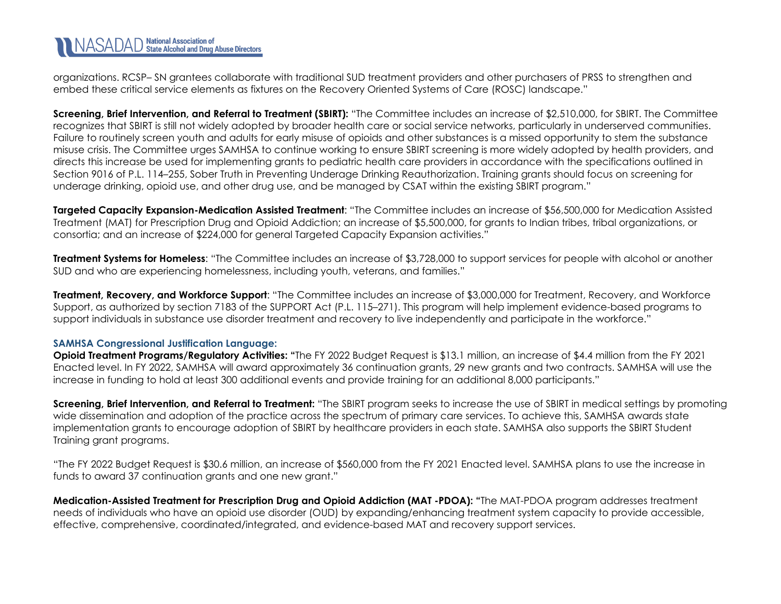organizations. RCSP– SN grantees collaborate with traditional SUD treatment providers and other purchasers of PRSS to strengthen and embed these critical service elements as fixtures on the Recovery Oriented Systems of Care (ROSC) landscape."

**Screening, Brief Intervention, and Referral to Treatment (SBIRT):** "The Committee includes an increase of \$2,510,000, for SBIRT. The Committee recognizes that SBIRT is still not widely adopted by broader health care or social service networks, particularly in underserved communities. Failure to routinely screen youth and adults for early misuse of opioids and other substances is a missed opportunity to stem the substance misuse crisis. The Committee urges SAMHSA to continue working to ensure SBIRT screening is more widely adopted by health providers, and directs this increase be used for implementing grants to pediatric health care providers in accordance with the specifications outlined in Section 9016 of P.L. 114–255, Sober Truth in Preventing Underage Drinking Reauthorization. Training grants should focus on screening for underage drinking, opioid use, and other drug use, and be managed by CSAT within the existing SBIRT program."

**Targeted Capacity Expansion-Medication Assisted Treatment**: "The Committee includes an increase of \$56,500,000 for Medication Assisted Treatment (MAT) for Prescription Drug and Opioid Addiction; an increase of \$5,500,000, for grants to Indian tribes, tribal organizations, or consortia; and an increase of \$224,000 for general Targeted Capacity Expansion activities."

**Treatment Systems for Homeless**: "The Committee includes an increase of \$3,728,000 to support services for people with alcohol or another SUD and who are experiencing homelessness, including youth, veterans, and families."

**Treatment, Recovery, and Workforce Support**: "The Committee includes an increase of \$3,000,000 for Treatment, Recovery, and Workforce Support, as authorized by section 7183 of the SUPPORT Act (P.L. 115–271). This program will help implement evidence-based programs to support individuals in substance use disorder treatment and recovery to live independently and participate in the workforce."

### **SAMHSA Congressional Justification Language:**

**Opioid Treatment Programs/Regulatory Activities:** "The FY 2022 Budget Reguest is \$13.1 million, an increase of \$4.4 million from the FY 2021 Enacted level. In FY 2022, SAMHSA will award approximately 36 continuation grants, 29 new grants and two contracts. SAMHSA will use the increase in funding to hold at least 300 additional events and provide training for an additional 8,000 participants."

**Screening, Brief Intervention, and Referral to Treatment:** "The SBIRT program seeks to increase the use of SBIRT in medical settings by promoting wide dissemination and adoption of the practice across the spectrum of primary care services. To achieve this, SAMHSA awards state implementation grants to encourage adoption of SBIRT by healthcare providers in each state. SAMHSA also supports the SBIRT Student Training grant programs.

"The FY 2022 Budget Request is \$30.6 million, an increase of \$560,000 from the FY 2021 Enacted level. SAMHSA plans to use the increase in funds to award 37 continuation grants and one new grant."

<span id="page-8-0"></span>**Medication-Assisted Treatment for Prescription Drug and Opioid Addiction (MAT -PDOA): "**The MAT-PDOA program addresses treatment needs of individuals who have an opioid use disorder (OUD) by expanding/enhancing treatment system capacity to provide accessible, effective, comprehensive, coordinated/integrated, and evidence-based MAT and recovery support services.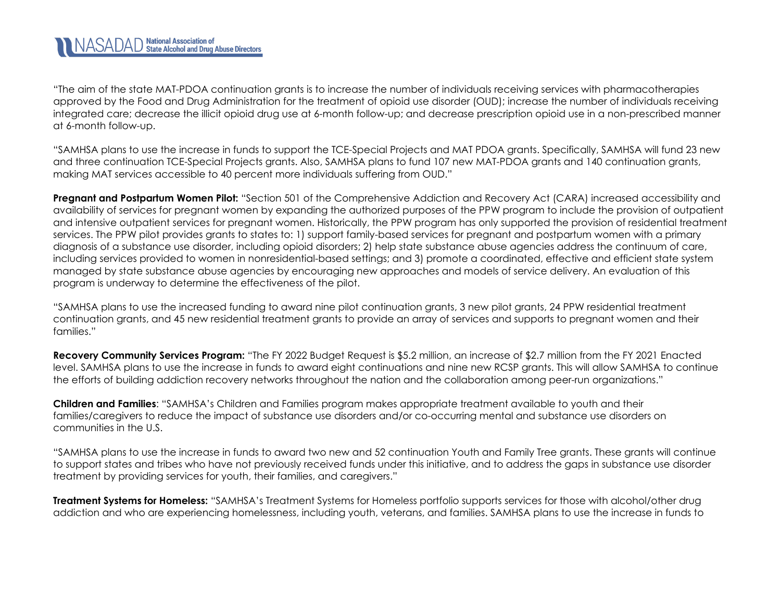"The aim of the state MAT-PDOA continuation grants is to increase the number of individuals receiving services with pharmacotherapies approved by the Food and Drug Administration for the treatment of opioid use disorder (OUD); increase the number of individuals receiving integrated care; decrease the illicit opioid drug use at 6-month follow-up; and decrease prescription opioid use in a non-prescribed manner at 6-month follow-up.

"SAMHSA plans to use the increase in funds to support the TCE-Special Projects and MAT PDOA grants. Specifically, SAMHSA will fund 23 new and three continuation TCE-Special Projects grants. Also, SAMHSA plans to fund 107 new MAT-PDOA grants and 140 continuation grants, making MAT services accessible to 40 percent more individuals suffering from OUD."

**Pregnant and Postpartum Women Pilot:** "Section 501 of the Comprehensive Addiction and Recovery Act (CARA) increased accessibility and availability of services for pregnant women by expanding the authorized purposes of the PPW program to include the provision of outpatient and intensive outpatient services for pregnant women. Historically, the PPW program has only supported the provision of residential treatment services. The PPW pilot provides grants to states to: 1) support family-based services for pregnant and postpartum women with a primary diagnosis of a substance use disorder, including opioid disorders; 2) help state substance abuse agencies address the continuum of care, including services provided to women in nonresidential-based settings; and 3) promote a coordinated, effective and efficient state system managed by state substance abuse agencies by encouraging new approaches and models of service delivery. An evaluation of this program is underway to determine the effectiveness of the pilot.

"SAMHSA plans to use the increased funding to award nine pilot continuation grants, 3 new pilot grants, 24 PPW residential treatment continuation grants, and 45 new residential treatment grants to provide an array of services and supports to pregnant women and their families."

**Recovery Community Services Program:** "The FY 2022 Budget Request is \$5.2 million, an increase of \$2.7 million from the FY 2021 Enacted level. SAMHSA plans to use the increase in funds to award eight continuations and nine new RCSP grants. This will allow SAMHSA to continue the efforts of building addiction recovery networks throughout the nation and the collaboration among peer-run organizations."

**Children and Families**: "SAMHSA's Children and Families program makes appropriate treatment available to youth and their families/caregivers to reduce the impact of substance use disorders and/or co-occurring mental and substance use disorders on communities in the U.S.

"SAMHSA plans to use the increase in funds to award two new and 52 continuation Youth and Family Tree grants. These grants will continue to support states and tribes who have not previously received funds under this initiative, and to address the gaps in substance use disorder treatment by providing services for youth, their families, and caregivers."

**Treatment Systems for Homeless:** "SAMHSA's Treatment Systems for Homeless portfolio supports services for those with alcohol/other drug addiction and who are experiencing homelessness, including youth, veterans, and families. SAMHSA plans to use the increase in funds to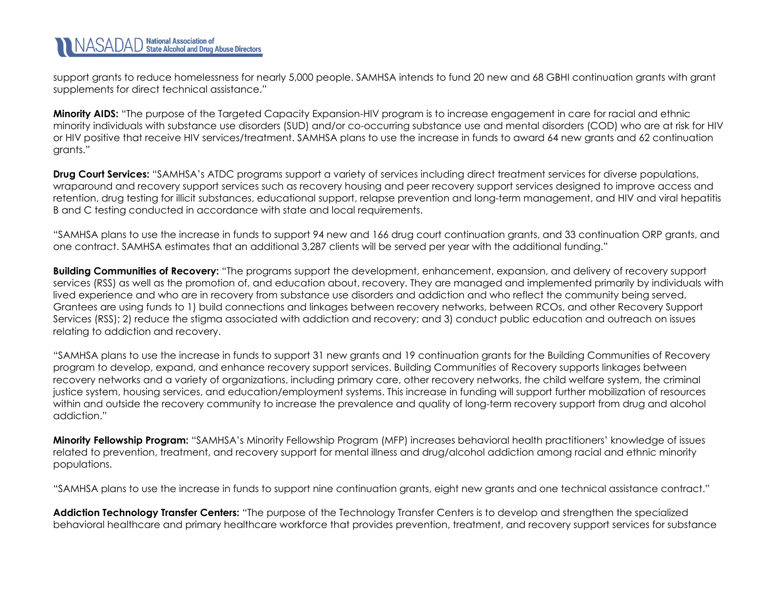support grants to reduce homelessness for nearly 5,000 people. SAMHSA intends to fund 20 new and 68 GBHI continuation grants with grant supplements for direct technical assistance."

**Minority AIDS:** "The purpose of the Targeted Capacity Expansion-HIV program is to increase engagement in care for racial and ethnic minority individuals with substance use disorders (SUD) and/or co-occurring substance use and mental disorders (COD) who are at risk for HIV or HIV positive that receive HIV services/treatment. SAMHSA plans to use the increase in funds to award 64 new grants and 62 continuation grants."

**Drug Court Services:** "SAMHSA's ATDC programs support a variety of services including direct treatment services for diverse populations, wraparound and recovery support services such as recovery housing and peer recovery support services designed to improve access and retention, drug testing for illicit substances, educational support, relapse prevention and long-term management, and HIV and viral hepatitis B and C testing conducted in accordance with state and local requirements.

"SAMHSA plans to use the increase in funds to support 94 new and 166 drug court continuation grants, and 33 continuation ORP grants, and one contract. SAMHSA estimates that an additional 3,287 clients will be served per year with the additional funding."

**Building Communities of Recovery:** "The programs support the development, enhancement, expansion, and delivery of recovery support services (RSS) as well as the promotion of, and education about, recovery. They are managed and implemented primarily by individuals with lived experience and who are in recovery from substance use disorders and addiction and who reflect the community being served. Grantees are using funds to 1) build connections and linkages between recovery networks, between RCOs, and other Recovery Support Services (RSS); 2) reduce the stigma associated with addiction and recovery; and 3) conduct public education and outreach on issues relating to addiction and recovery.

"SAMHSA plans to use the increase in funds to support 31 new grants and 19 continuation grants for the Building Communities of Recovery program to develop, expand, and enhance recovery support services. Building Communities of Recovery supports linkages between recovery networks and a variety of organizations, including primary care, other recovery networks, the child welfare system, the criminal justice system, housing services, and education/employment systems. This increase in funding will support further mobilization of resources within and outside the recovery community to increase the prevalence and quality of long-term recovery support from drug and alcohol addiction."

**Minority Fellowship Program:** "SAMHSA's Minority Fellowship Program (MFP) increases behavioral health practitioners' knowledge of issues related to prevention, treatment, and recovery support for mental illness and drug/alcohol addiction among racial and ethnic minority populations.

"SAMHSA plans to use the increase in funds to support nine continuation grants, eight new grants and one technical assistance contract."

**Addiction Technology Transfer Centers:** "The purpose of the Technology Transfer Centers is to develop and strengthen the specialized behavioral healthcare and primary healthcare workforce that provides prevention, treatment, and recovery support services for substance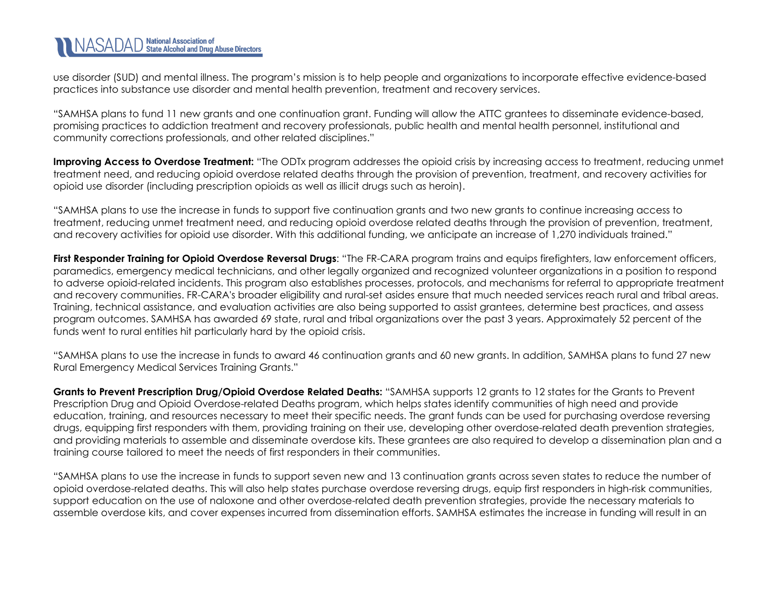use disorder (SUD) and mental illness. The program's mission is to help people and organizations to incorporate effective evidence-based practices into substance use disorder and mental health prevention, treatment and recovery services.

"SAMHSA plans to fund 11 new grants and one continuation grant. Funding will allow the ATTC grantees to disseminate evidence-based, promising practices to addiction treatment and recovery professionals, public health and mental health personnel, institutional and community corrections professionals, and other related disciplines."

**Improving Access to Overdose Treatment:** "The ODTx program addresses the opioid crisis by increasing access to treatment, reducing unmet treatment need, and reducing opioid overdose related deaths through the provision of prevention, treatment, and recovery activities for opioid use disorder (including prescription opioids as well as illicit drugs such as heroin).

"SAMHSA plans to use the increase in funds to support five continuation grants and two new grants to continue increasing access to treatment, reducing unmet treatment need, and reducing opioid overdose related deaths through the provision of prevention, treatment, and recovery activities for opioid use disorder. With this additional funding, we anticipate an increase of 1,270 individuals trained."

**First Responder Training for Opioid Overdose Reversal Drugs**: "The FR-CARA program trains and equips firefighters, law enforcement officers, paramedics, emergency medical technicians, and other legally organized and recognized volunteer organizations in a position to respond to adverse opioid-related incidents. This program also establishes processes, protocols, and mechanisms for referral to appropriate treatment and recovery communities. FR-CARA's broader eligibility and rural-set asides ensure that much needed services reach rural and tribal areas. Training, technical assistance, and evaluation activities are also being supported to assist grantees, determine best practices, and assess program outcomes. SAMHSA has awarded 69 state, rural and tribal organizations over the past 3 years. Approximately 52 percent of the funds went to rural entities hit particularly hard by the opioid crisis.

"SAMHSA plans to use the increase in funds to award 46 continuation grants and 60 new grants. In addition, SAMHSA plans to fund 27 new Rural Emergency Medical Services Training Grants."

**Grants to Prevent Prescription Drug/Opioid Overdose Related Deaths:** "SAMHSA supports 12 grants to 12 states for the Grants to Prevent Prescription Drug and Opioid Overdose-related Deaths program, which helps states identify communities of high need and provide education, training, and resources necessary to meet their specific needs. The grant funds can be used for purchasing overdose reversing drugs, equipping first responders with them, providing training on their use, developing other overdose-related death prevention strategies, and providing materials to assemble and disseminate overdose kits. These grantees are also required to develop a dissemination plan and a training course tailored to meet the needs of first responders in their communities.

"SAMHSA plans to use the increase in funds to support seven new and 13 continuation grants across seven states to reduce the number of opioid overdose-related deaths. This will also help states purchase overdose reversing drugs, equip first responders in high-risk communities, support education on the use of naloxone and other overdose-related death prevention strategies, provide the necessary materials to assemble overdose kits, and cover expenses incurred from dissemination efforts. SAMHSA estimates the increase in funding will result in an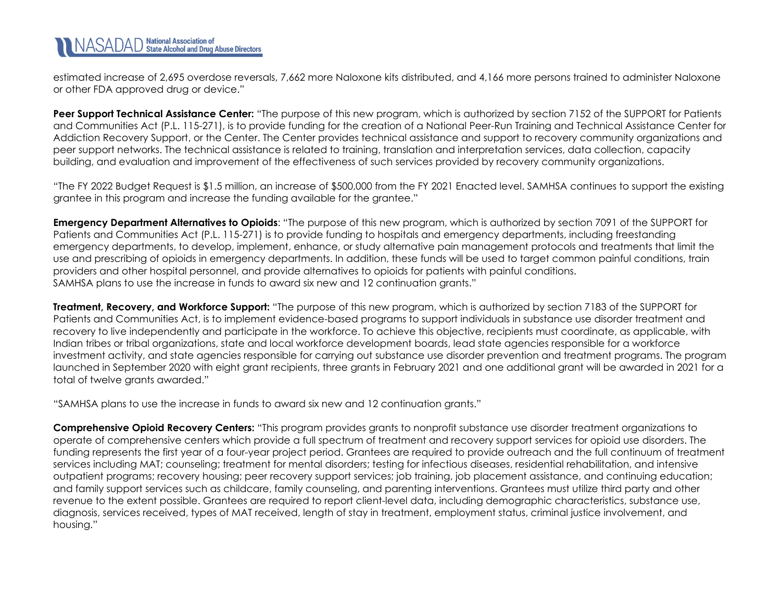estimated increase of 2,695 overdose reversals, 7,662 more Naloxone kits distributed, and 4,166 more persons trained to administer Naloxone or other FDA approved drug or device."

**Peer Support Technical Assistance Center:** "The purpose of this new program, which is authorized by section 7152 of the SUPPORT for Patients and Communities Act (P.L. 115-271), is to provide funding for the creation of a National Peer-Run Training and Technical Assistance Center for Addiction Recovery Support, or the Center. The Center provides technical assistance and support to recovery community organizations and peer support networks. The technical assistance is related to training, translation and interpretation services, data collection, capacity building, and evaluation and improvement of the effectiveness of such services provided by recovery community organizations.

"The FY 2022 Budget Request is \$1.5 million, an increase of \$500,000 from the FY 2021 Enacted level. SAMHSA continues to support the existing grantee in this program and increase the funding available for the grantee."

**Emergency Department Alternatives to Opioids**: "The purpose of this new program, which is authorized by section 7091 of the SUPPORT for Patients and Communities Act (P.L. 115-271) is to provide funding to hospitals and emergency departments, including freestanding emergency departments, to develop, implement, enhance, or study alternative pain management protocols and treatments that limit the use and prescribing of opioids in emergency departments. In addition, these funds will be used to target common painful conditions, train providers and other hospital personnel, and provide alternatives to opioids for patients with painful conditions. SAMHSA plans to use the increase in funds to award six new and 12 continuation grants."

**Treatment, Recovery, and Workforce Support:** "The purpose of this new program, which is authorized by section 7183 of the SUPPORT for Patients and Communities Act, is to implement evidence-based programs to support individuals in substance use disorder treatment and recovery to live independently and participate in the workforce. To achieve this objective, recipients must coordinate, as applicable, with Indian tribes or tribal organizations, state and local workforce development boards, lead state agencies responsible for a workforce investment activity, and state agencies responsible for carrying out substance use disorder prevention and treatment programs. The program launched in September 2020 with eight grant recipients, three grants in February 2021 and one additional grant will be awarded in 2021 for a total of twelve grants awarded."

"SAMHSA plans to use the increase in funds to award six new and 12 continuation grants."

**Comprehensive Opioid Recovery Centers:** "This program provides grants to nonprofit substance use disorder treatment organizations to operate of comprehensive centers which provide a full spectrum of treatment and recovery support services for opioid use disorders. The funding represents the first year of a four-year project period. Grantees are required to provide outreach and the full continuum of treatment services including MAT; counseling; treatment for mental disorders; testing for infectious diseases, residential rehabilitation, and intensive outpatient programs; recovery housing; peer recovery support services; job training, job placement assistance, and continuing education; and family support services such as childcare, family counseling, and parenting interventions. Grantees must utilize third party and other revenue to the extent possible. Grantees are required to report client-level data, including demographic characteristics, substance use, diagnosis, services received, types of MAT received, length of stay in treatment, employment status, criminal justice involvement, and housing."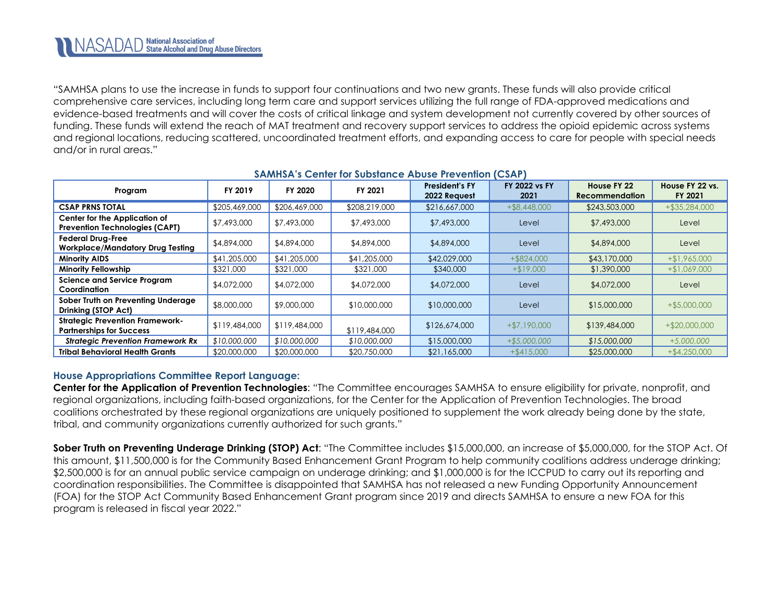"SAMHSA plans to use the increase in funds to support four continuations and two new grants. These funds will also provide critical comprehensive care services, including long term care and support services utilizing the full range of FDA-approved medications and evidence-based treatments and will cover the costs of critical linkage and system development not currently covered by other sources of funding. These funds will extend the reach of MAT treatment and recovery support services to address the opioid epidemic across systems and regional locations, reducing scattered, uncoordinated treatment efforts, and expanding access to care for people with special needs and/or in rural areas."

| Program                                                                   | FY 2019       | FY 2020       | FY 2021       | <b>President's FY</b><br>2022 Request | <b>FY 2022 vs FY</b><br>2021 | House FY 22<br><b>Recommendation</b> | House FY 22 vs.<br>FY 2021 |
|---------------------------------------------------------------------------|---------------|---------------|---------------|---------------------------------------|------------------------------|--------------------------------------|----------------------------|
| <b>CSAP PRNS TOTAL</b>                                                    | \$205,469,000 | \$206,469,000 | \$208,219,000 | \$216,667,000                         | $+$ \$8,448,000              | \$243,503,000                        | $+$ \$35,284,000           |
| Center for the Application of<br><b>Prevention Technologies (CAPT)</b>    | \$7,493,000   | \$7,493,000   | \$7,493,000   | \$7,493,000                           | Level                        | \$7,493,000                          | Level                      |
| <b>Federal Drug-Free</b><br><b>Workplace/Mandatory Drug Testing</b>       | \$4,894,000   | \$4,894,000   | \$4,894,000   | \$4,894,000                           | Level                        | \$4,894,000                          | Level                      |
| <b>Minority AIDS</b>                                                      | \$41,205,000  | \$41,205,000  | \$41,205,000  | \$42,029,000                          | $+$ \$824,000                | \$43,170,000                         | $+ $1,965,000$             |
| <b>Minority Fellowship</b>                                                | \$321,000     | \$321,000     | \$321,000     | \$340,000                             | $+ $19,000$                  | \$1,390,000                          | $+ $1,069,000$             |
| <b>Science and Service Program</b><br>Coordination                        | \$4,072,000   | \$4,072,000   | \$4,072,000   | \$4,072,000                           | Level                        | \$4,072,000                          | Level                      |
| Sober Truth on Preventing Underage<br>Drinking (STOP Act)                 | \$8,000,000   | \$9,000,000   | \$10,000,000  | \$10,000,000                          | Level                        | \$15,000,000                         | $+$ \$5,000,000            |
| <b>Strategic Prevention Framework-</b><br><b>Partnerships for Success</b> | \$119,484,000 | \$119,484,000 | \$119,484,000 | \$126,674,000                         | $+ $7,190,000$               | \$139,484,000                        | $+$ \$20,000,000           |
| <b>Strategic Prevention Framework Rx</b>                                  | \$10,000,000  | \$10,000,000  | \$10,000,000  | \$15,000,000                          | $+ $5,000,000$               | \$15,000,000                         | $+5,000,000$               |
| <b>Tribal Behavioral Health Grants</b>                                    | \$20,000,000  | \$20,000,000  | \$20,750,000  | \$21,165,000                          | $+$ \$415,000                | \$25,000,000                         | $+$ \$4,250,000            |

### **SAMHSA's Center for Substance Abuse Prevention (CSAP)**

### **House Appropriations Committee Report Language:**

**Center for the Application of Prevention Technologies**: "The Committee encourages SAMHSA to ensure eligibility for private, nonprofit, and regional organizations, including faith-based organizations, for the Center for the Application of Prevention Technologies. The broad coalitions orchestrated by these regional organizations are uniquely positioned to supplement the work already being done by the state, tribal, and community organizations currently authorized for such grants."

**Sober Truth on Preventing Underage Drinking (STOP) Act**: "The Committee includes \$15,000,000, an increase of \$5,000,000, for the STOP Act. Of this amount, \$11,500,000 is for the Community Based Enhancement Grant Program to help community coalitions address underage drinking; \$2,500,000 is for an annual public service campaign on underage drinking; and \$1,000,000 is for the ICCPUD to carry out its reporting and coordination responsibilities. The Committee is disappointed that SAMHSA has not released a new Funding Opportunity Announcement (FOA) for the STOP Act Community Based Enhancement Grant program since 2019 and directs SAMHSA to ensure a new FOA for this program is released in fiscal year 2022."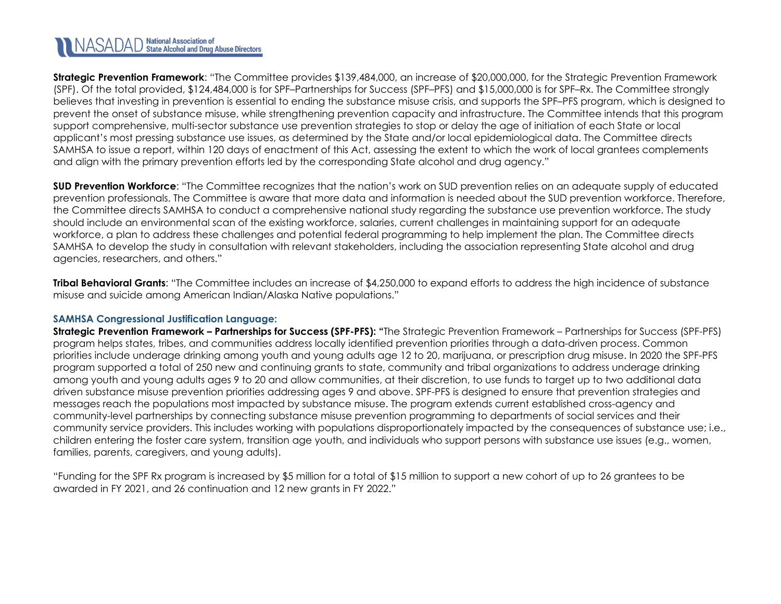**Strategic Prevention Framework**: "The Committee provides \$139,484,000, an increase of \$20,000,000, for the Strategic Prevention Framework (SPF). Of the total provided, \$124,484,000 is for SPF–Partnerships for Success (SPF–PFS) and \$15,000,000 is for SPF–Rx. The Committee strongly believes that investing in prevention is essential to ending the substance misuse crisis, and supports the SPF–PFS program, which is designed to prevent the onset of substance misuse, while strengthening prevention capacity and infrastructure. The Committee intends that this program support comprehensive, multi-sector substance use prevention strategies to stop or delay the age of initiation of each State or local applicant's most pressing substance use issues, as determined by the State and/or local epidemiological data. The Committee directs SAMHSA to issue a report, within 120 days of enactment of this Act, assessing the extent to which the work of local grantees complements and align with the primary prevention efforts led by the corresponding State alcohol and drug agency."

**SUD Prevention Workforce**: "The Committee recognizes that the nation's work on SUD prevention relies on an adequate supply of educated prevention professionals. The Committee is aware that more data and information is needed about the SUD prevention workforce. Therefore, the Committee directs SAMHSA to conduct a comprehensive national study regarding the substance use prevention workforce. The study should include an environmental scan of the existing workforce, salaries, current challenges in maintaining support for an adequate workforce, a plan to address these challenges and potential federal programming to help implement the plan. The Committee directs SAMHSA to develop the study in consultation with relevant stakeholders, including the association representing State alcohol and drug agencies, researchers, and others."

**Tribal Behavioral Grants**: "The Committee includes an increase of \$4,250,000 to expand efforts to address the high incidence of substance misuse and suicide among American Indian/Alaska Native populations."

### **SAMHSA Congressional Justification Language:**

**Strategic Prevention Framework – Partnerships for Success (SPF-PFS): "**The Strategic Prevention Framework – Partnerships for Success (SPF-PFS) program helps states, tribes, and communities address locally identified prevention priorities through a data-driven process. Common priorities include underage drinking among youth and young adults age 12 to 20, marijuana, or prescription drug misuse. In 2020 the SPF-PFS program supported a total of 250 new and continuing grants to state, community and tribal organizations to address underage drinking among youth and young adults ages 9 to 20 and allow communities, at their discretion, to use funds to target up to two additional data driven substance misuse prevention priorities addressing ages 9 and above. SPF-PFS is designed to ensure that prevention strategies and messages reach the populations most impacted by substance misuse. The program extends current established cross-agency and community-level partnerships by connecting substance misuse prevention programming to departments of social services and their community service providers. This includes working with populations disproportionately impacted by the consequences of substance use; i.e., children entering the foster care system, transition age youth, and individuals who support persons with substance use issues (e.g., women, families, parents, caregivers, and young adults).

"Funding for the SPF Rx program is increased by \$5 million for a total of \$15 million to support a new cohort of up to 26 grantees to be awarded in FY 2021, and 26 continuation and 12 new grants in FY 2022."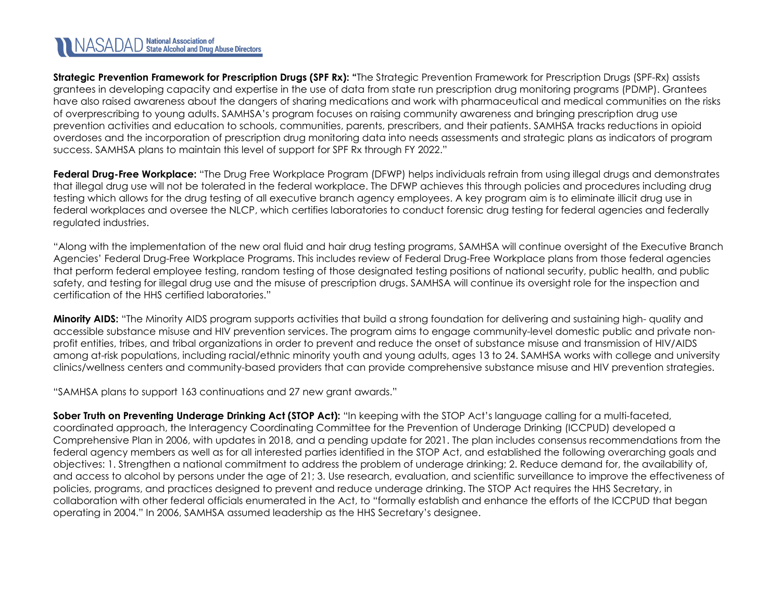# NASADAD State Alcohol and Drug Abuse Directors

**Strategic Prevention Framework for Prescription Drugs (SPF Rx): "**The Strategic Prevention Framework for Prescription Drugs (SPF-Rx) assists grantees in developing capacity and expertise in the use of data from state run prescription drug monitoring programs (PDMP). Grantees have also raised awareness about the dangers of sharing medications and work with pharmaceutical and medical communities on the risks of overprescribing to young adults. SAMHSA's program focuses on raising community awareness and bringing prescription drug use prevention activities and education to schools, communities, parents, prescribers, and their patients. SAMHSA tracks reductions in opioid overdoses and the incorporation of prescription drug monitoring data into needs assessments and strategic plans as indicators of program success. SAMHSA plans to maintain this level of support for SPF Rx through FY 2022."

**Federal Drug-Free Workplace:** "The Drug Free Workplace Program (DFWP) helps individuals refrain from using illegal drugs and demonstrates that illegal drug use will not be tolerated in the federal workplace. The DFWP achieves this through policies and procedures including drug testing which allows for the drug testing of all executive branch agency employees. A key program aim is to eliminate illicit drug use in federal workplaces and oversee the NLCP, which certifies laboratories to conduct forensic drug testing for federal agencies and federally regulated industries.

"Along with the implementation of the new oral fluid and hair drug testing programs, SAMHSA will continue oversight of the Executive Branch Agencies' Federal Drug-Free Workplace Programs. This includes review of Federal Drug-Free Workplace plans from those federal agencies that perform federal employee testing, random testing of those designated testing positions of national security, public health, and public safety, and testing for illegal drug use and the misuse of prescription drugs. SAMHSA will continue its oversight role for the inspection and certification of the HHS certified laboratories."

**Minority AIDS:** "The Minority AIDS program supports activities that build a strong foundation for delivering and sustaining high- quality and accessible substance misuse and HIV prevention services. The program aims to engage community-level domestic public and private nonprofit entities, tribes, and tribal organizations in order to prevent and reduce the onset of substance misuse and transmission of HIV/AIDS among at-risk populations, including racial/ethnic minority youth and young adults, ages 13 to 24. SAMHSA works with college and university clinics/wellness centers and community-based providers that can provide comprehensive substance misuse and HIV prevention strategies.

"SAMHSA plans to support 163 continuations and 27 new grant awards."

**Sober Truth on Preventing Underage Drinking Act (STOP Act):** "In keeping with the STOP Act's language calling for a multi-faceted, coordinated approach, the Interagency Coordinating Committee for the Prevention of Underage Drinking (ICCPUD) developed a Comprehensive Plan in 2006, with updates in 2018, and a pending update for 2021. The plan includes consensus recommendations from the federal agency members as well as for all interested parties identified in the STOP Act, and established the following overarching goals and objectives: 1. Strengthen a national commitment to address the problem of underage drinking; 2. Reduce demand for, the availability of, and access to alcohol by persons under the age of 21; 3. Use research, evaluation, and scientific surveillance to improve the effectiveness of policies, programs, and practices designed to prevent and reduce underage drinking. The STOP Act requires the HHS Secretary, in collaboration with other federal officials enumerated in the Act, to "formally establish and enhance the efforts of the ICCPUD that began operating in 2004." In 2006, SAMHSA assumed leadership as the HHS Secretary's designee.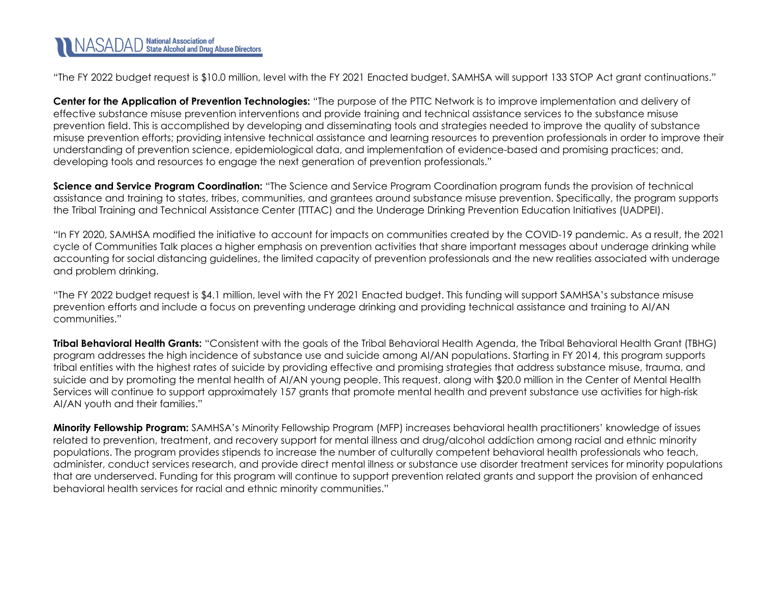

"The FY 2022 budget request is \$10.0 million, level with the FY 2021 Enacted budget. SAMHSA will support 133 STOP Act grant continuations."

**Center for the Application of Prevention Technologies:** "The purpose of the PTTC Network is to improve implementation and delivery of effective substance misuse prevention interventions and provide training and technical assistance services to the substance misuse prevention field. This is accomplished by developing and disseminating tools and strategies needed to improve the quality of substance misuse prevention efforts; providing intensive technical assistance and learning resources to prevention professionals in order to improve their understanding of prevention science, epidemiological data, and implementation of evidence-based and promising practices; and, developing tools and resources to engage the next generation of prevention professionals."

**Science and Service Program Coordination:** "The Science and Service Program Coordination program funds the provision of technical assistance and training to states, tribes, communities, and grantees around substance misuse prevention. Specifically, the program supports the Tribal Training and Technical Assistance Center (TTTAC) and the Underage Drinking Prevention Education Initiatives (UADPEI).

"In FY 2020, SAMHSA modified the initiative to account for impacts on communities created by the COVID-19 pandemic. As a result, the 2021 cycle of Communities Talk places a higher emphasis on prevention activities that share important messages about underage drinking while accounting for social distancing guidelines, the limited capacity of prevention professionals and the new realities associated with underage and problem drinking.

"The FY 2022 budget request is \$4.1 million, level with the FY 2021 Enacted budget. This funding will support SAMHSA's substance misuse prevention efforts and include a focus on preventing underage drinking and providing technical assistance and training to AI/AN communities."

**Tribal Behavioral Health Grants:** "Consistent with the goals of the Tribal Behavioral Health Agenda, the Tribal Behavioral Health Grant (TBHG) program addresses the high incidence of substance use and suicide among AI/AN populations. Starting in FY 2014, this program supports tribal entities with the highest rates of suicide by providing effective and promising strategies that address substance misuse, trauma, and suicide and by promoting the mental health of AI/AN young people. This request, along with \$20.0 million in the Center of Mental Health Services will continue to support approximately 157 grants that promote mental health and prevent substance use activities for high-risk AI/AN youth and their families."

<span id="page-16-0"></span>**Minority Fellowship Program:** SAMHSA's Minority Fellowship Program (MFP) increases behavioral health practitioners' knowledge of issues related to prevention, treatment, and recovery support for mental illness and drug/alcohol addiction among racial and ethnic minority populations. The program provides stipends to increase the number of culturally competent behavioral health professionals who teach, administer, conduct services research, and provide direct mental illness or substance use disorder treatment services for minority populations that are underserved. Funding for this program will continue to support prevention related grants and support the provision of enhanced behavioral health services for racial and ethnic minority communities."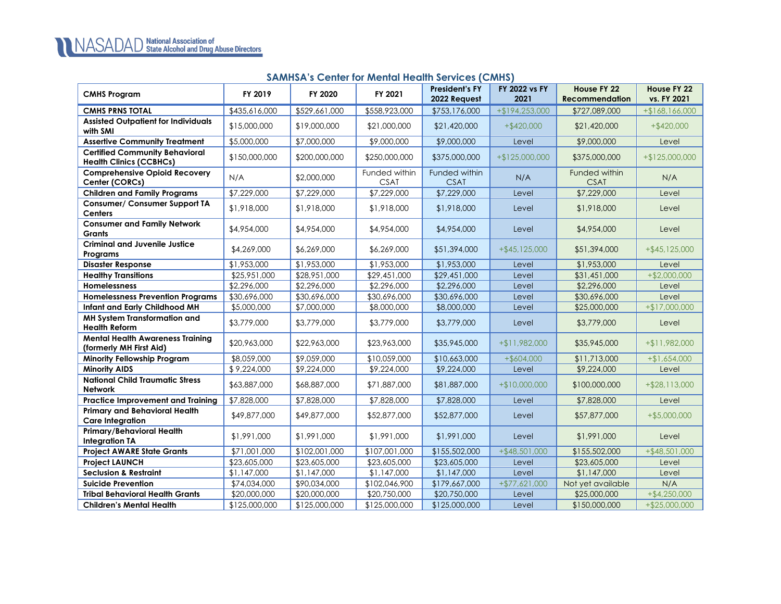### **SAMHSA's Center for Mental Health Services (CMHS)**

| <b>CMHS Program</b>                                                     | FY 2019       | FY 2020                 | FY 2021                      | <b>President's FY</b><br>2022 Request | FY 2022 vs FY<br>2021 | House FY 22<br><b>Recommendation</b> | House FY 22<br>vs. FY 2021 |
|-------------------------------------------------------------------------|---------------|-------------------------|------------------------------|---------------------------------------|-----------------------|--------------------------------------|----------------------------|
| <b>CMHS PRNS TOTAL</b>                                                  | \$435,616,000 | \$529,661,000           | \$558,923,000                | \$753,176,000                         | +\$194,253,000        | \$727,089,000                        | $+ $168,166,000$           |
| <b>Assisted Outpatient for Individuals</b><br>with SMI                  | \$15,000,000  | \$19,000,000            | \$21,000,000                 | \$21,420,000                          | $+$ \$420,000         | \$21,420,000                         | $+$ \$420,000              |
| <b>Assertive Community Treatment</b>                                    | \$5,000,000   | \$7,000,000             | \$9,000,000                  | \$9,000,000                           | Level                 | \$9,000,000                          | Level                      |
| <b>Certified Community Behavioral</b><br><b>Health Clinics (CCBHCs)</b> | \$150,000,000 | \$200,000,000           | \$250,000,000                | \$375,000,000                         | $+ $125.000.000$      | \$375,000,000                        | $+$ \$125,000,000          |
| <b>Comprehensive Opioid Recovery</b><br>Center (CORCs)                  | N/A           | \$2,000,000             | Funded within<br><b>CSAT</b> | Funded within<br><b>CSAT</b>          | N/A                   | Funded within<br><b>CSAT</b>         | N/A                        |
| <b>Children and Family Programs</b>                                     | \$7,229,000   | \$7,229,000             | \$7,229,000                  | \$7,229,000                           | Level                 | \$7,229,000                          | Level                      |
| <b>Consumer/ Consumer Support TA</b><br><b>Centers</b>                  | \$1,918,000   | \$1,918,000             | \$1,918,000                  | \$1,918,000                           | Level                 | \$1,918,000                          | Level                      |
| <b>Consumer and Family Network</b><br><b>Grants</b>                     | \$4,954,000   | \$4,954,000             | \$4,954,000                  | \$4,954,000                           | Level                 | \$4,954,000                          | Level                      |
| <b>Criminal and Juvenile Justice</b><br>Programs                        | \$4,269,000   | \$6,269,000             | \$6,269,000                  | \$51,394,000                          | $+$ \$45,125,000      | \$51,394,000                         | $+$ \$45,125,000           |
| <b>Disaster Response</b>                                                | \$1,953,000   | \$1,953,000             | \$1,953,000                  | \$1,953,000                           | Level                 | \$1,953,000                          | Level                      |
| <b>Healthy Transitions</b>                                              | \$25,951,000  | \$28,951,000            | \$29,451,000                 | \$29,451,000                          | Level                 | \$31,451,000                         | $+$ \$2,000,000            |
| Homelessness                                                            | \$2,296,000   | $\sqrt{$2,296,000}$     | \$2,296,000                  | \$2,296,000                           | Level                 | \$2,296,000                          | Level                      |
| <b>Homelessness Prevention Programs</b>                                 | \$30,696,000  | \$30,696,000            | \$30,696,000                 | \$30,696,000                          | Level                 | \$30,696,000                         | Level                      |
| Infant and Early Childhood MH                                           | \$5,000,000   | \$7,000,000             | \$8,000,000                  | \$8,000,000                           | Level                 | \$25,000,000                         | $+ $17,000,000$            |
| MH System Transformation and<br><b>Health Reform</b>                    | \$3,779,000   | \$3,779,000             | \$3,779,000                  | \$3,779,000                           | Level                 | \$3,779,000                          | Level                      |
| <b>Mental Health Awareness Training</b><br>(formerly MH First Aid)      | \$20,963,000  | \$22,963,000            | \$23,963,000                 | \$35,945,000                          | +\$11,982,000         | \$35,945,000                         | +\$11,982,000              |
| Minority Fellowship Program                                             | \$8,059,000   | \$9,059,000             | \$10,059,000                 | \$10,663,000                          | $+$ \$604,000         | \$11,713,000                         | $+ $1,654,000$             |
| <b>Minority AIDS</b>                                                    | \$9,224,000   | $\overline{19,224,000}$ | \$9,224,000                  | \$9,224,000                           | Level                 | \$9,224,000                          | Level                      |
| <b>National Child Traumatic Stress</b><br><b>Network</b>                | \$63,887,000  | \$68,887,000            | \$71,887,000                 | \$81,887,000                          | $+$10,000,000$        | \$100,000,000                        | $+$ \$28,113,000           |
| <b>Practice Improvement and Training</b>                                | \$7,828,000   | \$7,828,000             | \$7,828,000                  | \$7,828,000                           | Level                 | \$7,828,000                          | Level                      |
| <b>Primary and Behavioral Health</b><br><b>Care Integration</b>         | \$49,877,000  | \$49,877,000            | \$52,877,000                 | \$52,877,000                          | Level                 | \$57,877,000                         | $+$ \$5,000,000            |
| Primary/Behavioral Health<br><b>Integration TA</b>                      | \$1,991,000   | \$1,991,000             | \$1,991,000                  | \$1,991,000                           | Level                 | \$1,991,000                          | Level                      |
| <b>Project AWARE State Grants</b>                                       | \$71,001,000  | \$102,001,000           | \$107,001,000                | \$155,502,000                         | +\$48,501,000         | \$155,502,000                        | +\$48,501,000              |
| <b>Project LAUNCH</b>                                                   | \$23,605,000  | \$23,605,000            | \$23,605,000                 | \$23,605,000                          | Level                 | \$23,605,000                         | Level                      |
| <b>Seclusion &amp; Restraint</b>                                        | \$1,147,000   | \$1,147,000             | \$1,147,000                  | \$1,147,000                           | Level                 | \$1,147,000                          | Level                      |
| <b>Suicide Prevention</b>                                               | \$74,034,000  | \$90,034,000            | \$102,046,900                | \$179,667,000                         | $+ $77,621,000$       | Not yet available                    | N/A                        |
| <b>Tribal Behavioral Health Grants</b>                                  | \$20,000,000  | \$20,000,000            | \$20,750,000                 | \$20,750,000                          | Level                 | \$25,000,000                         | $+$ \$4,250,000            |
| <b>Children's Mental Health</b>                                         | \$125,000,000 | \$125,000,000           | \$125,000,000                | \$125,000,000                         | Level                 | \$150,000,000                        | $+$ \$25,000,000           |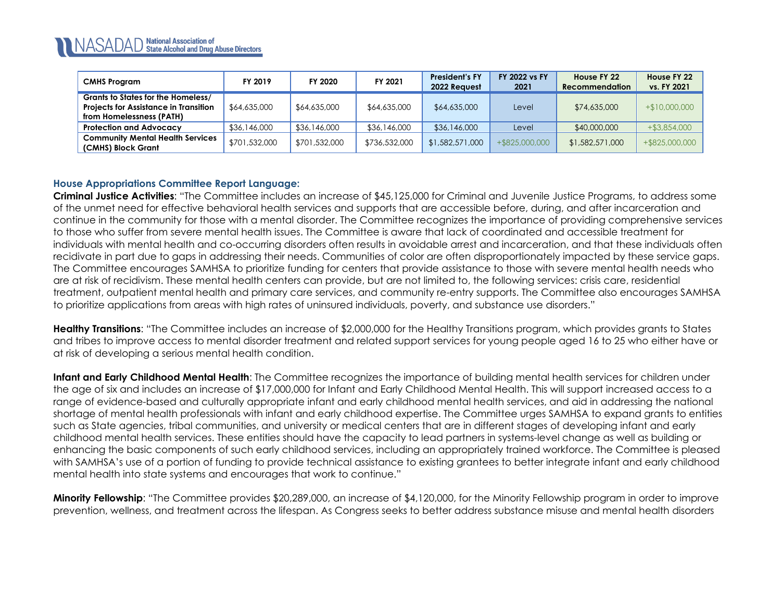| <b>CMHS Program</b>                                                                                            | FY 2019       | FY 2020       | FY 2021       | <b>President's FY</b><br>2022 Reauest | <b>FY 2022 vs FY</b><br>2021 | House FY 22<br><b>Recommendation</b> | House FY 22<br>vs. FY 2021 |
|----------------------------------------------------------------------------------------------------------------|---------------|---------------|---------------|---------------------------------------|------------------------------|--------------------------------------|----------------------------|
| Grants to States for the Homeless/<br><b>Projects for Assistance in Transition</b><br>from Homelessness (PATH) | \$64,635,000  | \$64,635,000  | \$64,635,000  | \$64,635,000                          | Level                        | \$74,635,000                         | $+$10,000,000$             |
| <b>Protection and Advocacy</b>                                                                                 | \$36,146,000  | \$36,146,000  | \$36,146,000  | \$36,146,000                          | Level                        | \$40,000,000                         | $+$ \$3,854,000            |
| <b>Community Mental Health Services</b><br>(CMHS) Block Grant                                                  | \$701,532,000 | \$701,532,000 | \$736,532,000 | \$1,582,571,000                       | +\$825,000,000               | \$1,582,571,000                      | +\$825,000,000             |

### **House Appropriations Committee Report Language:**

**Criminal Justice Activities**: "The Committee includes an increase of \$45,125,000 for Criminal and Juvenile Justice Programs, to address some of the unmet need for effective behavioral health services and supports that are accessible before, during, and after incarceration and continue in the community for those with a mental disorder. The Committee recognizes the importance of providing comprehensive services to those who suffer from severe mental health issues. The Committee is aware that lack of coordinated and accessible treatment for individuals with mental health and co-occurring disorders often results in avoidable arrest and incarceration, and that these individuals often recidivate in part due to gaps in addressing their needs. Communities of color are often disproportionately impacted by these service gaps. The Committee encourages SAMHSA to prioritize funding for centers that provide assistance to those with severe mental health needs who are at risk of recidivism. These mental health centers can provide, but are not limited to, the following services: crisis care, residential treatment, outpatient mental health and primary care services, and community re-entry supports. The Committee also encourages SAMHSA to prioritize applications from areas with high rates of uninsured individuals, poverty, and substance use disorders."

**Healthy Transitions**: "The Committee includes an increase of \$2,000,000 for the Healthy Transitions program, which provides grants to States and tribes to improve access to mental disorder treatment and related support services for young people aged 16 to 25 who either have or at risk of developing a serious mental health condition.

**Infant and Early Childhood Mental Health**: The Committee recognizes the importance of building mental health services for children under the age of six and includes an increase of \$17,000,000 for Infant and Early Childhood Mental Health. This will support increased access to a range of evidence-based and culturally appropriate infant and early childhood mental health services, and aid in addressing the national shortage of mental health professionals with infant and early childhood expertise. The Committee urges SAMHSA to expand grants to entities such as State agencies, tribal communities, and university or medical centers that are in different stages of developing infant and early childhood mental health services. These entities should have the capacity to lead partners in systems-level change as well as building or enhancing the basic components of such early childhood services, including an appropriately trained workforce. The Committee is pleased with SAMHSA's use of a portion of funding to provide technical assistance to existing grantees to better integrate infant and early childhood mental health into state systems and encourages that work to continue."

**Minority Fellowship**: "The Committee provides \$20,289,000, an increase of \$4,120,000, for the Minority Fellowship program in order to improve prevention, wellness, and treatment across the lifespan. As Congress seeks to better address substance misuse and mental health disorders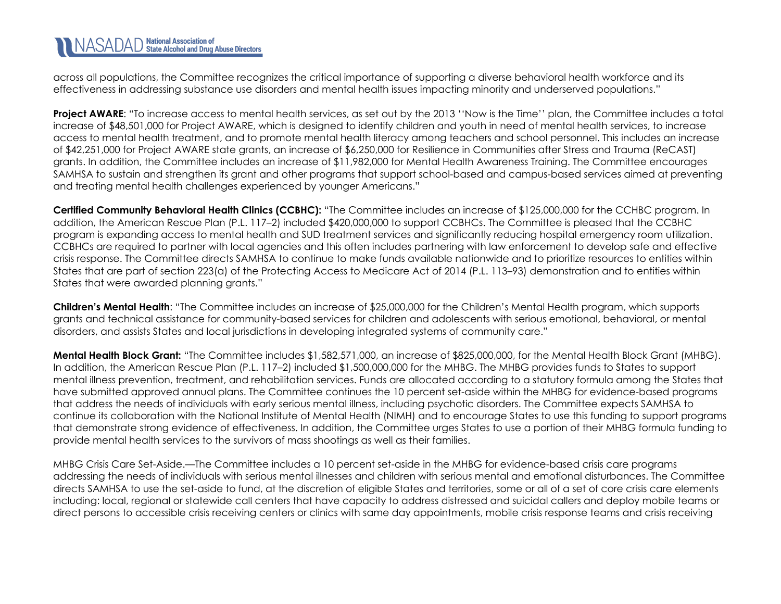across all populations, the Committee recognizes the critical importance of supporting a diverse behavioral health workforce and its effectiveness in addressing substance use disorders and mental health issues impacting minority and underserved populations."

**Project AWARE:** "To increase access to mental health services, as set out by the 2013 "Now is the Time" plan, the Committee includes a total increase of \$48,501,000 for Project AWARE, which is designed to identify children and youth in need of mental health services, to increase access to mental health treatment, and to promote mental health literacy among teachers and school personnel. This includes an increase of \$42,251,000 for Project AWARE state grants, an increase of \$6,250,000 for Resilience in Communities after Stress and Trauma (ReCAST) grants. In addition, the Committee includes an increase of \$11,982,000 for Mental Health Awareness Training. The Committee encourages SAMHSA to sustain and strengthen its grant and other programs that support school-based and campus-based services aimed at preventing and treating mental health challenges experienced by younger Americans."

**Certified Community Behavioral Health Clinics (CCBHC):** "The Committee includes an increase of \$125,000,000 for the CCHBC program. In addition, the American Rescue Plan (P.L. 117–2) included \$420,000,000 to support CCBHCs. The Committee is pleased that the CCBHC program is expanding access to mental health and SUD treatment services and significantly reducing hospital emergency room utilization. CCBHCs are required to partner with local agencies and this often includes partnering with law enforcement to develop safe and effective crisis response. The Committee directs SAMHSA to continue to make funds available nationwide and to prioritize resources to entities within States that are part of section 223(a) of the Protecting Access to Medicare Act of 2014 (P.L. 113–93) demonstration and to entities within States that were awarded planning grants."

**Children's Mental Health**: "The Committee includes an increase of \$25,000,000 for the Children's Mental Health program, which supports grants and technical assistance for community-based services for children and adolescents with serious emotional, behavioral, or mental disorders, and assists States and local jurisdictions in developing integrated systems of community care."

**Mental Health Block Grant:** "The Committee includes \$1,582,571,000, an increase of \$825,000,000, for the Mental Health Block Grant (MHBG). In addition, the American Rescue Plan (P.L. 117–2) included \$1,500,000,000 for the MHBG. The MHBG provides funds to States to support mental illness prevention, treatment, and rehabilitation services. Funds are allocated according to a statutory formula among the States that have submitted approved annual plans. The Committee continues the 10 percent set-aside within the MHBG for evidence-based programs that address the needs of individuals with early serious mental illness, including psychotic disorders. The Committee expects SAMHSA to continue its collaboration with the National Institute of Mental Health (NIMH) and to encourage States to use this funding to support programs that demonstrate strong evidence of effectiveness. In addition, the Committee urges States to use a portion of their MHBG formula funding to provide mental health services to the survivors of mass shootings as well as their families.

MHBG Crisis Care Set-Aside.—The Committee includes a 10 percent set-aside in the MHBG for evidence-based crisis care programs addressing the needs of individuals with serious mental illnesses and children with serious mental and emotional disturbances. The Committee directs SAMHSA to use the set-aside to fund, at the discretion of eligible States and territories, some or all of a set of core crisis care elements including: local, regional or statewide call centers that have capacity to address distressed and suicidal callers and deploy mobile teams or direct persons to accessible crisis receiving centers or clinics with same day appointments, mobile crisis response teams and crisis receiving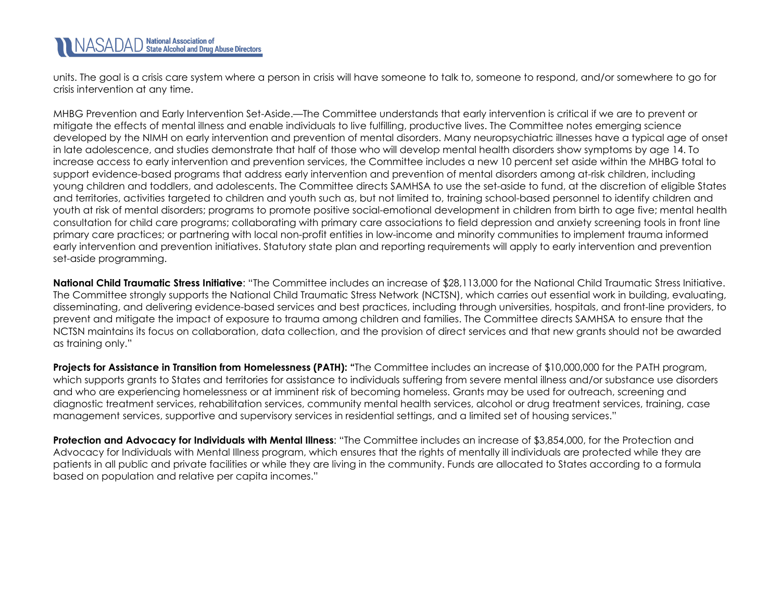units. The goal is a crisis care system where a person in crisis will have someone to talk to, someone to respond, and/or somewhere to go for crisis intervention at any time.

MHBG Prevention and Early Intervention Set-Aside.—The Committee understands that early intervention is critical if we are to prevent or mitigate the effects of mental illness and enable individuals to live fulfilling, productive lives. The Committee notes emerging science developed by the NIMH on early intervention and prevention of mental disorders. Many neuropsychiatric illnesses have a typical age of onset in late adolescence, and studies demonstrate that half of those who will develop mental health disorders show symptoms by age 14. To increase access to early intervention and prevention services, the Committee includes a new 10 percent set aside within the MHBG total to support evidence-based programs that address early intervention and prevention of mental disorders among at-risk children, including young children and toddlers, and adolescents. The Committee directs SAMHSA to use the set-aside to fund, at the discretion of eligible States and territories, activities targeted to children and youth such as, but not limited to, training school-based personnel to identify children and youth at risk of mental disorders; programs to promote positive social-emotional development in children from birth to age five; mental health consultation for child care programs; collaborating with primary care associations to field depression and anxiety screening tools in front line primary care practices; or partnering with local non-profit entities in low-income and minority communities to implement trauma informed early intervention and prevention initiatives. Statutory state plan and reporting requirements will apply to early intervention and prevention set-aside programming.

**National Child Traumatic Stress Initiative**: "The Committee includes an increase of \$28,113,000 for the National Child Traumatic Stress Initiative. The Committee strongly supports the National Child Traumatic Stress Network (NCTSN), which carries out essential work in building, evaluating, disseminating, and delivering evidence-based services and best practices, including through universities, hospitals, and front-line providers, to prevent and mitigate the impact of exposure to trauma among children and families. The Committee directs SAMHSA to ensure that the NCTSN maintains its focus on collaboration, data collection, and the provision of direct services and that new grants should not be awarded as training only."

**Projects for Assistance in Transition from Homelessness (PATH): "**The Committee includes an increase of \$10,000,000 for the PATH program, which supports grants to States and territories for assistance to individuals suffering from severe mental illness and/or substance use disorders and who are experiencing homelessness or at imminent risk of becoming homeless. Grants may be used for outreach, screening and diagnostic treatment services, rehabilitation services, community mental health services, alcohol or drug treatment services, training, case management services, supportive and supervisory services in residential settings, and a limited set of housing services."

**Protection and Advocacy for Individuals with Mental Illness**: "The Committee includes an increase of \$3,854,000, for the Protection and Advocacy for Individuals with Mental Illness program, which ensures that the rights of mentally ill individuals are protected while they are patients in all public and private facilities or while they are living in the community. Funds are allocated to States according to a formula based on population and relative per capita incomes."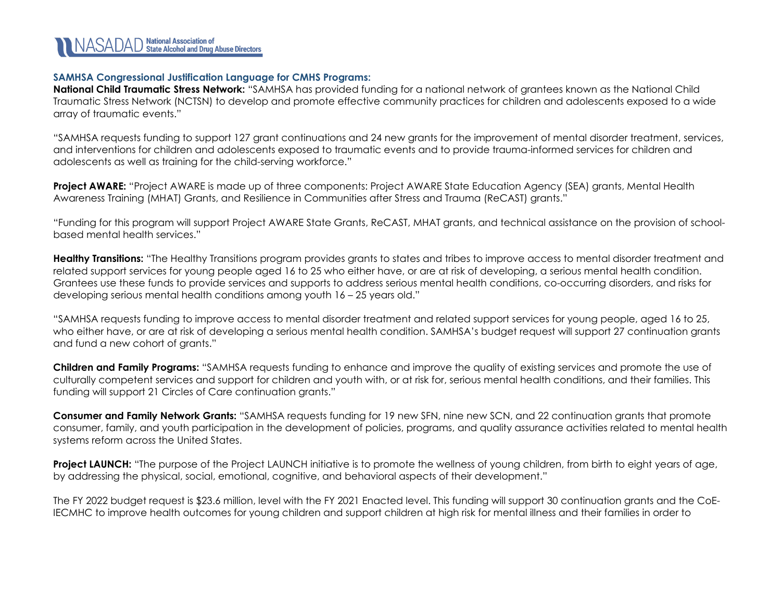

#### **SAMHSA Congressional Justification Language for CMHS Programs:**

**National Child Traumatic Stress Network:** "SAMHSA has provided funding for a national network of grantees known as the National Child Traumatic Stress Network (NCTSN) to develop and promote effective community practices for children and adolescents exposed to a wide array of traumatic events."

"SAMHSA requests funding to support 127 grant continuations and 24 new grants for the improvement of mental disorder treatment, services, and interventions for children and adolescents exposed to traumatic events and to provide trauma-informed services for children and adolescents as well as training for the child-serving workforce."

**Project AWARE:** "Project AWARE is made up of three components: Project AWARE State Education Agency (SEA) grants, Mental Health Awareness Training (MHAT) Grants, and Resilience in Communities after Stress and Trauma (ReCAST) grants."

"Funding for this program will support Project AWARE State Grants, ReCAST, MHAT grants, and technical assistance on the provision of schoolbased mental health services."

**Healthy Transitions:** "The Healthy Transitions program provides grants to states and tribes to improve access to mental disorder treatment and related support services for young people aged 16 to 25 who either have, or are at risk of developing, a serious mental health condition. Grantees use these funds to provide services and supports to address serious mental health conditions, co-occurring disorders, and risks for developing serious mental health conditions among youth 16 – 25 years old."

"SAMHSA requests funding to improve access to mental disorder treatment and related support services for young people, aged 16 to 25, who either have, or are at risk of developing a serious mental health condition. SAMHSA's budget request will support 27 continuation grants and fund a new cohort of grants."

**Children and Family Programs:** "SAMHSA requests funding to enhance and improve the quality of existing services and promote the use of culturally competent services and support for children and youth with, or at risk for, serious mental health conditions, and their families. This funding will support 21 Circles of Care continuation grants."

**Consumer and Family Network Grants:** "SAMHSA requests funding for 19 new SFN, nine new SCN, and 22 continuation grants that promote consumer, family, and youth participation in the development of policies, programs, and quality assurance activities related to mental health systems reform across the United States.

**Project LAUNCH:** "The purpose of the Project LAUNCH initiative is to promote the wellness of young children, from birth to eight years of age, by addressing the physical, social, emotional, cognitive, and behavioral aspects of their development."

The FY 2022 budget request is \$23.6 million, level with the FY 2021 Enacted level. This funding will support 30 continuation grants and the CoE-IECMHC to improve health outcomes for young children and support children at high risk for mental illness and their families in order to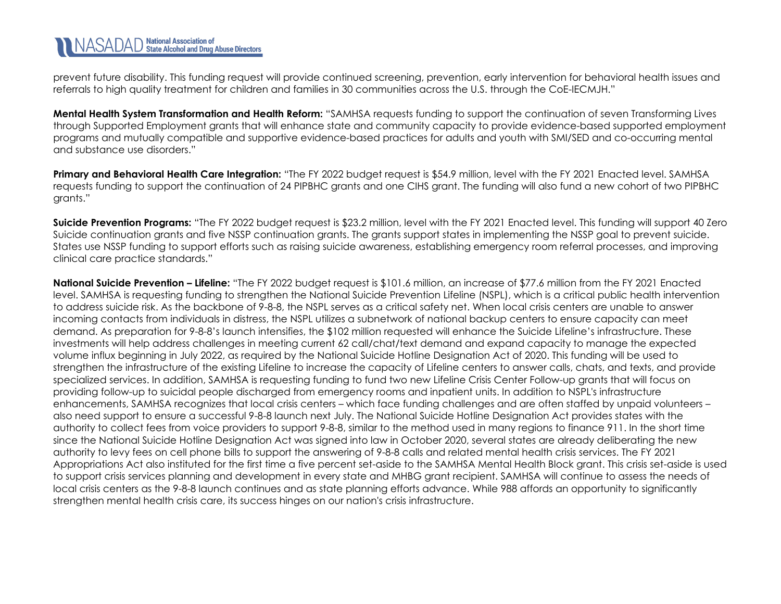prevent future disability. This funding request will provide continued screening, prevention, early intervention for behavioral health issues and referrals to high quality treatment for children and families in 30 communities across the U.S. through the CoE-IECMJH."

**Mental Health System Transformation and Health Reform:** "SAMHSA requests funding to support the continuation of seven Transforming Lives through Supported Employment grants that will enhance state and community capacity to provide evidence-based supported employment programs and mutually compatible and supportive evidence-based practices for adults and youth with SMI/SED and co-occurring mental and substance use disorders."

**Primary and Behavioral Health Care Integration:** "The FY 2022 budget request is \$54.9 million, level with the FY 2021 Enacted level. SAMHSA requests funding to support the continuation of 24 PIPBHC grants and one CIHS grant. The funding will also fund a new cohort of two PIPBHC grants."

**Suicide Prevention Programs:** "The FY 2022 budget request is \$23.2 million, level with the FY 2021 Enacted level. This funding will support 40 Zero Suicide continuation grants and five NSSP continuation grants. The grants support states in implementing the NSSP goal to prevent suicide. States use NSSP funding to support efforts such as raising suicide awareness, establishing emergency room referral processes, and improving clinical care practice standards."

**National Suicide Prevention – Lifeline:** "The FY 2022 budget request is \$101.6 million, an increase of \$77.6 million from the FY 2021 Enacted level. SAMHSA is requesting funding to strengthen the National Suicide Prevention Lifeline (NSPL), which is a critical public health intervention to address suicide risk. As the backbone of 9-8-8, the NSPL serves as a critical safety net. When local crisis centers are unable to answer incoming contacts from individuals in distress, the NSPL utilizes a subnetwork of national backup centers to ensure capacity can meet demand. As preparation for 9-8-8's launch intensifies, the \$102 million requested will enhance the Suicide Lifeline's infrastructure. These investments will help address challenges in meeting current 62 call/chat/text demand and expand capacity to manage the expected volume influx beginning in July 2022, as required by the National Suicide Hotline Designation Act of 2020. This funding will be used to strengthen the infrastructure of the existing Lifeline to increase the capacity of Lifeline centers to answer calls, chats, and texts, and provide specialized services. In addition, SAMHSA is requesting funding to fund two new Lifeline Crisis Center Follow-up grants that will focus on providing follow-up to suicidal people discharged from emergency rooms and inpatient units. In addition to NSPL's infrastructure enhancements, SAMHSA recognizes that local crisis centers – which face funding challenges and are often staffed by unpaid volunteers – also need support to ensure a successful 9-8-8 launch next July. The National Suicide Hotline Designation Act provides states with the authority to collect fees from voice providers to support 9-8-8, similar to the method used in many regions to finance 911. In the short time since the National Suicide Hotline Designation Act was signed into law in October 2020, several states are already deliberating the new authority to levy fees on cell phone bills to support the answering of 9-8-8 calls and related mental health crisis services. The FY 2021 Appropriations Act also instituted for the first time a five percent set-aside to the SAMHSA Mental Health Block grant. This crisis set-aside is used to support crisis services planning and development in every state and MHBG grant recipient. SAMHSA will continue to assess the needs of local crisis centers as the 9-8-8 launch continues and as state planning efforts advance. While 988 affords an opportunity to significantly strengthen mental health crisis care, its success hinges on our nation's crisis infrastructure.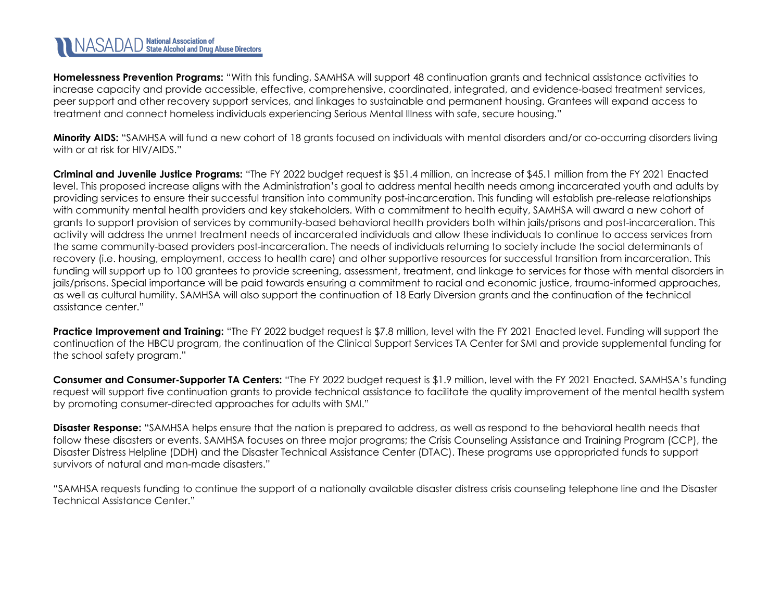# NASADAD State Alcohol and Drug Abuse Directors

**Homelessness Prevention Programs:** "With this funding, SAMHSA will support 48 continuation grants and technical assistance activities to increase capacity and provide accessible, effective, comprehensive, coordinated, integrated, and evidence-based treatment services, peer support and other recovery support services, and linkages to sustainable and permanent housing. Grantees will expand access to treatment and connect homeless individuals experiencing Serious Mental Illness with safe, secure housing."

**Minority AIDS:** "SAMHSA will fund a new cohort of 18 grants focused on individuals with mental disorders and/or co-occurring disorders living with or at risk for HIV/AIDS."

**Criminal and Juvenile Justice Programs:** "The FY 2022 budget request is \$51.4 million, an increase of \$45.1 million from the FY 2021 Enacted level. This proposed increase aligns with the Administration's goal to address mental health needs among incarcerated youth and adults by providing services to ensure their successful transition into community post-incarceration. This funding will establish pre-release relationships with community mental health providers and key stakeholders. With a commitment to health equity, SAMHSA will award a new cohort of grants to support provision of services by community-based behavioral health providers both within jails/prisons and post-incarceration. This activity will address the unmet treatment needs of incarcerated individuals and allow these individuals to continue to access services from the same community-based providers post-incarceration. The needs of individuals returning to society include the social determinants of recovery (i.e. housing, employment, access to health care) and other supportive resources for successful transition from incarceration. This funding will support up to 100 grantees to provide screening, assessment, treatment, and linkage to services for those with mental disorders in jails/prisons. Special importance will be paid towards ensuring a commitment to racial and economic justice, trauma-informed approaches, as well as cultural humility. SAMHSA will also support the continuation of 18 Early Diversion grants and the continuation of the technical assistance center."

**Practice Improvement and Training:** "The FY 2022 budget request is \$7.8 million, level with the FY 2021 Enacted level. Funding will support the continuation of the HBCU program, the continuation of the Clinical Support Services TA Center for SMI and provide supplemental funding for the school safety program."

**Consumer and Consumer-Supporter TA Centers:** "The FY 2022 budget request is \$1.9 million, level with the FY 2021 Enacted. SAMHSA's funding request will support five continuation grants to provide technical assistance to facilitate the quality improvement of the mental health system by promoting consumer-directed approaches for adults with SMI."

**Disaster Response:** "SAMHSA helps ensure that the nation is prepared to address, as well as respond to the behavioral health needs that follow these disasters or events. SAMHSA focuses on three major programs; the Crisis Counseling Assistance and Training Program (CCP), the Disaster Distress Helpline (DDH) and the Disaster Technical Assistance Center (DTAC). These programs use appropriated funds to support survivors of natural and man-made disasters."

"SAMHSA requests funding to continue the support of a nationally available disaster distress crisis counseling telephone line and the Disaster Technical Assistance Center."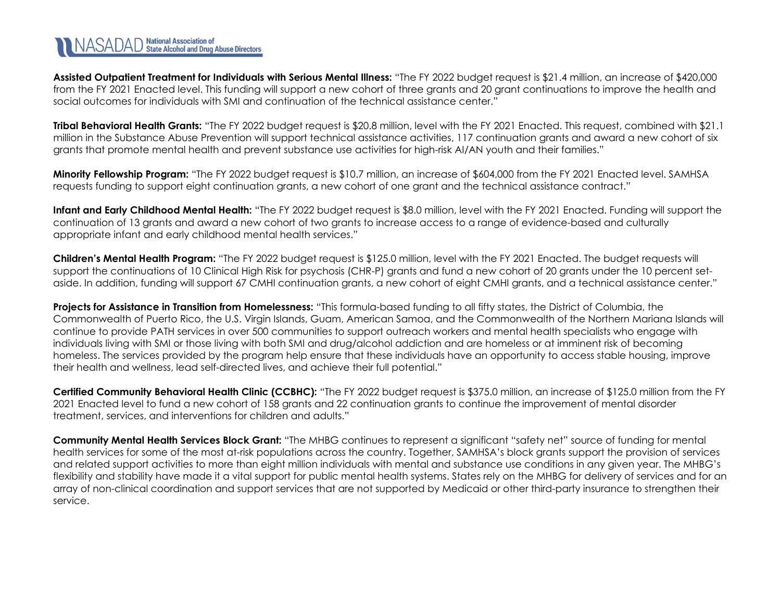**Assisted Outpatient Treatment for Individuals with Serious Mental Illness:** "The FY 2022 budget request is \$21.4 million, an increase of \$420,000 from the FY 2021 Enacted level. This funding will support a new cohort of three grants and 20 grant continuations to improve the health and social outcomes for individuals with SMI and continuation of the technical assistance center."

**Tribal Behavioral Health Grants:** "The FY 2022 budget request is \$20.8 million, level with the FY 2021 Enacted. This request, combined with \$21.1 million in the Substance Abuse Prevention will support technical assistance activities, 117 continuation grants and award a new cohort of six grants that promote mental health and prevent substance use activities for high-risk AI/AN youth and their families."

**Minority Fellowship Program:** "The FY 2022 budget request is \$10.7 million, an increase of \$604,000 from the FY 2021 Enacted level. SAMHSA requests funding to support eight continuation grants, a new cohort of one grant and the technical assistance contract."

Infant and Early Childhood Mental Health: "The FY 2022 budget request is \$8.0 million, level with the FY 2021 Enacted. Funding will support the continuation of 13 grants and award a new cohort of two grants to increase access to a range of evidence-based and culturally appropriate infant and early childhood mental health services."

**Children's Mental Health Program:** "The FY 2022 budget request is \$125.0 million, level with the FY 2021 Enacted. The budget requests will support the continuations of 10 Clinical High Risk for psychosis (CHR-P) grants and fund a new cohort of 20 grants under the 10 percent setaside. In addition, funding will support 67 CMHI continuation grants, a new cohort of eight CMHI grants, and a technical assistance center."

**Projects for Assistance in Transition from Homelessness:** "This formula-based funding to all fifty states, the District of Columbia, the Commonwealth of Puerto Rico, the U.S. Virgin Islands, Guam, American Samoa, and the Commonwealth of the Northern Mariana Islands will continue to provide PATH services in over 500 communities to support outreach workers and mental health specialists who engage with individuals living with SMI or those living with both SMI and drug/alcohol addiction and are homeless or at imminent risk of becoming homeless. The services provided by the program help ensure that these individuals have an opportunity to access stable housing, improve their health and wellness, lead self-directed lives, and achieve their full potential."

**Certified Community Behavioral Health Clinic (CCBHC):** "The FY 2022 budget request is \$375.0 million, an increase of \$125.0 million from the FY 2021 Enacted level to fund a new cohort of 158 grants and 22 continuation grants to continue the improvement of mental disorder treatment, services, and interventions for children and adults."

**Community Mental Health Services Block Grant:** "The MHBG continues to represent a significant "safety net" source of funding for mental health services for some of the most at-risk populations across the country. Together, SAMHSA's block grants support the provision of services and related support activities to more than eight million individuals with mental and substance use conditions in any given year. The MHBG's flexibility and stability have made it a vital support for public mental health systems. States rely on the MHBG for delivery of services and for an array of non-clinical coordination and support services that are not supported by Medicaid or other third-party insurance to strengthen their service.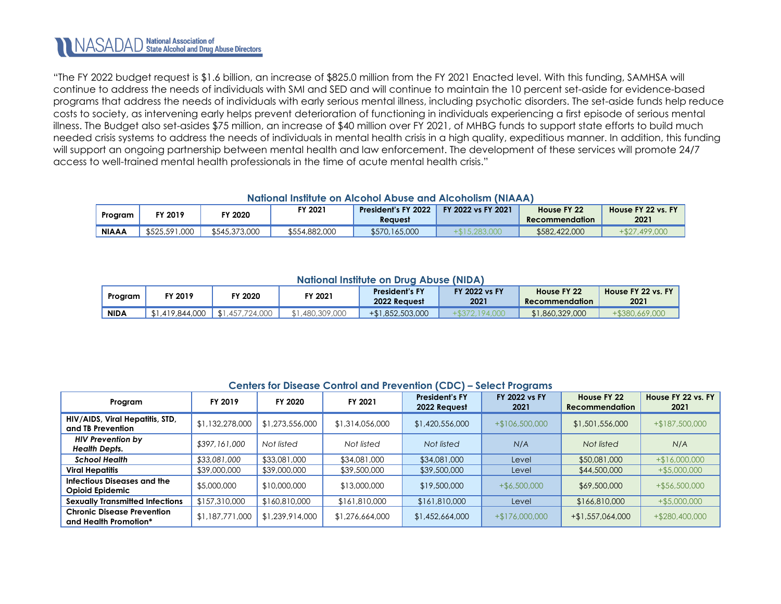"The FY 2022 budget request is \$1.6 billion, an increase of \$825.0 million from the FY 2021 Enacted level. With this funding, SAMHSA will continue to address the needs of individuals with SMI and SED and will continue to maintain the 10 percent set-aside for evidence-based programs that address the needs of individuals with early serious mental illness, including psychotic disorders. The set-aside funds help reduce costs to society, as intervening early helps prevent deterioration of functioning in individuals experiencing a first episode of serious mental illness. The Budget also set-asides \$75 million, an increase of \$40 million over FY 2021, of MHBG funds to support state efforts to build much needed crisis systems to address the needs of individuals in mental health crisis in a high quality, expeditious manner. In addition, this funding will support an ongoing partnership between mental health and law enforcement. The development of these services will promote 24/7 access to well-trained mental health professionals in the time of acute mental health crisis."

#### **National Institute on Alcohol Abuse and Alcoholism (NIAAA)**

<span id="page-25-0"></span>

| Program      | FY 2019       | <b>FY 2020</b> | FY 2021       | President's FY 2022<br><b>Reauest</b> | FY 2022 vs FY 2021 | House FY 22<br><b>Recommendation</b> | House FY 22 vs. FY<br>2021 |
|--------------|---------------|----------------|---------------|---------------------------------------|--------------------|--------------------------------------|----------------------------|
| <b>NIAAA</b> | \$525,591,000 | \$545,373,000  | \$554,882,000 | \$570,165,000                         |                    | \$582,422,000                        | $+ $27.499.000$            |

### **National Institute on Drug Abuse (NIDA)**

<span id="page-25-1"></span>

| Program     | FY 2019         | FY 2020             | FY 2021      | <b>President's FY</b><br><b>2022 Request</b> | <b>FY 2022 vs FY</b><br>2021 | House FY 22<br>Recommendation | House FY 22 vs. FY<br>2021 |
|-------------|-----------------|---------------------|--------------|----------------------------------------------|------------------------------|-------------------------------|----------------------------|
| <b>NIDA</b> | \$1,419,844,000 | .457.724.000<br>\$1 | ,480,309,000 | +\$1,852,503,000                             |                              | \$1,860,329,000               |                            |

#### **Centers for Disease Control and Prevention (CDC) – Select Programs**

<span id="page-25-2"></span>

| FY 2019<br>Program                                         |                 | FY 2020         | FY 2021         | <b>President's FY</b><br>2022 Request |                  | House FY 22<br><b>Recommendation</b> | House FY 22 vs. FY<br>2021 |
|------------------------------------------------------------|-----------------|-----------------|-----------------|---------------------------------------|------------------|--------------------------------------|----------------------------|
| HIV/AIDS, Viral Hepatitis, STD,<br>and TB Prevention       | \$1,132,278,000 | \$1,273,556,000 | \$1,314,056,000 | \$1,420,556,000                       | $+$106,500,000$  | \$1,501,556,000                      | $+$187,500,000$            |
| <b>HIV Prevention by</b><br><b>Health Depts.</b>           | \$397,161,000   | Not listed      | Not listed      | Not listed                            | N/A              | Not listed                           | N/A                        |
| <b>School Health</b>                                       | \$33,081,000    | \$33,081,000    | \$34,081,000    | \$34,081,000                          | Level            | \$50,081,000                         | $+ $16,000,000$            |
| <b>Viral Hepatitis</b>                                     | \$39,000,000    | \$39,000,000    | \$39,500,000    | \$39,500,000                          | Level            | \$44,500,000                         | $+$ \$5,000,000            |
| Infectious Diseases and the<br><b>Opioid Epidemic</b>      | \$5,000,000     | \$10,000,000    | \$13,000,000    | \$19,500,000                          | $+$ \$6,500,000  | \$69,500,000                         | $+$ \$56,500,000           |
| <b>Sexually Transmitted Infections</b>                     | \$157,310,000   | \$160,810,000   | \$161,810,000   | \$161,810,000                         | Level            | \$166,810,000                        | $+$ \$5,000,000            |
| <b>Chronic Disease Prevention</b><br>and Health Promotion* | \$1,187,771,000 | \$1,239,914,000 | \$1,276,664,000 | \$1,452,664,000                       | $+ $176,000,000$ | $+$ \$1,557,064,000                  | +\$280,400,000             |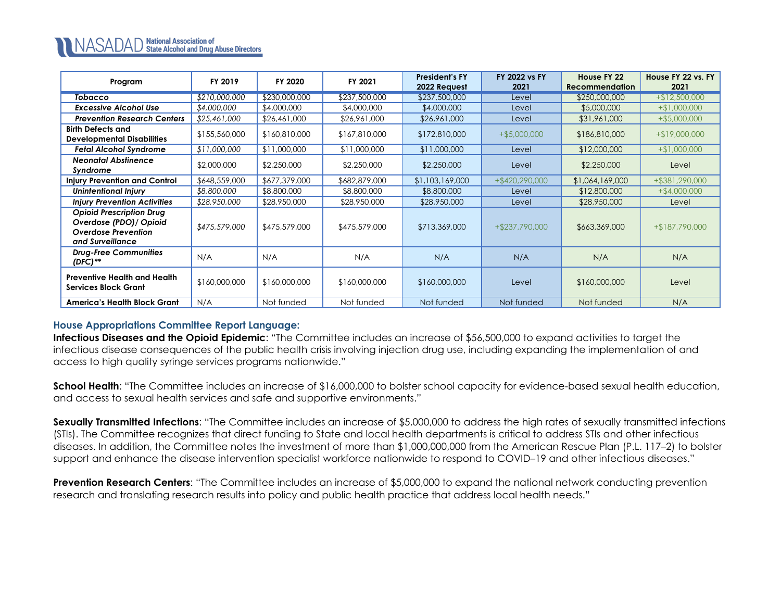| Program                                                                                                      | FY 2019       | FY 2020       | FY 2021       | <b>President's FY</b><br>2022 Request | <b>FY 2022 vs FY</b><br>2021 | House FY 22<br><b>Recommendation</b> | House FY 22 vs. FY<br>2021 |
|--------------------------------------------------------------------------------------------------------------|---------------|---------------|---------------|---------------------------------------|------------------------------|--------------------------------------|----------------------------|
| <b>Tobacco</b>                                                                                               | \$210,000,000 | \$230,000,000 | \$237,500,000 | \$237,500,000                         | Level                        | \$250,000,000                        | $+ $12,500,000$            |
| <b>Excessive Alcohol Use</b>                                                                                 | \$4,000,000   | \$4,000,000   | \$4,000,000   | \$4,000,000                           | Level                        | \$5,000,000                          | $+ $1,000,000$             |
| <b>Prevention Research Centers</b>                                                                           | \$25,461,000  | \$26,461,000  | \$26,961,000  | \$26,961,000                          | Level                        | \$31,961,000                         | $+$ \$5,000,000            |
| <b>Birth Defects and</b><br><b>Developmental Disabilities</b>                                                | \$155,560,000 | \$160,810,000 | \$167,810,000 | \$172,810,000                         | $+$ \$5,000,000              | \$186,810,000                        | $+ $19,000,000$            |
| <b>Fetal Alcohol Syndrome</b>                                                                                | \$11,000,000  | \$11,000,000  | \$11,000,000  | \$11,000,000                          | Level                        | \$12,000,000                         | $+ $1,000,000$             |
| <b>Neonatal Abstinence</b><br>Syndrome                                                                       | \$2,000,000   | \$2,250,000   | \$2,250,000   | \$2,250,000                           | Level                        | \$2,250,000                          | Level                      |
| <b>Injury Prevention and Control</b>                                                                         | \$648,559,000 | \$677,379,000 | \$682,879,000 | \$1,103,169,000                       | $+$ \$420,290,000            | \$1,064,169,000                      | +\$381,290,000             |
| <b>Unintentional Injury</b>                                                                                  | \$8,800,000   | \$8,800,000   | \$8,800,000   | \$8,800,000                           | Level                        | \$12,800,000                         | $+$ \$4,000,000            |
| <b>Injury Prevention Activities</b>                                                                          | \$28,950,000  | \$28,950,000  | \$28,950,000  | \$28,950,000                          | Level                        | \$28,950,000                         | Level                      |
| <b>Opioid Prescription Drug</b><br>Overdose (PDO) / Opioid<br><b>Overdose Prevention</b><br>and Surveillance | \$475,579,000 | \$475,579,000 | \$475,579,000 | \$713,369,000                         | $+ $237,790,000$             | \$663,369,000                        | +\$187,790,000             |
| <b>Drug-Free Communities</b><br>$(DFC)$ **                                                                   | N/A           | N/A           | N/A           | N/A                                   | N/A                          | N/A                                  | N/A                        |
| <b>Preventive Health and Health</b><br><b>Services Block Grant</b>                                           | \$160,000,000 | \$160,000,000 | \$160,000,000 | \$160,000,000                         | Level                        | \$160,000,000                        | Level                      |
| America's Health Block Grant                                                                                 | N/A           | Not funded    | Not funded    | Not funded                            | Not funded                   | Not funded                           | N/A                        |

### **House Appropriations Committee Report Language:**

**Infectious Diseases and the Opioid Epidemic**: "The Committee includes an increase of \$56,500,000 to expand activities to target the infectious disease consequences of the public health crisis involving injection drug use, including expanding the implementation of and access to high quality syringe services programs nationwide."

**School Health**: "The Committee includes an increase of \$16,000,000 to bolster school capacity for evidence-based sexual health education, and access to sexual health services and safe and supportive environments."

**Sexually Transmitted Infections**: "The Committee includes an increase of \$5,000,000 to address the high rates of sexually transmitted infections (STIs). The Committee recognizes that direct funding to State and local health departments is critical to address STIs and other infectious diseases. In addition, the Committee notes the investment of more than \$1,000,000,000 from the American Rescue Plan (P.L. 117–2) to bolster support and enhance the disease intervention specialist workforce nationwide to respond to COVID–19 and other infectious diseases."

**Prevention Research Centers:** "The Committee includes an increase of \$5,000,000 to expand the national network conducting prevention research and translating research results into policy and public health practice that address local health needs."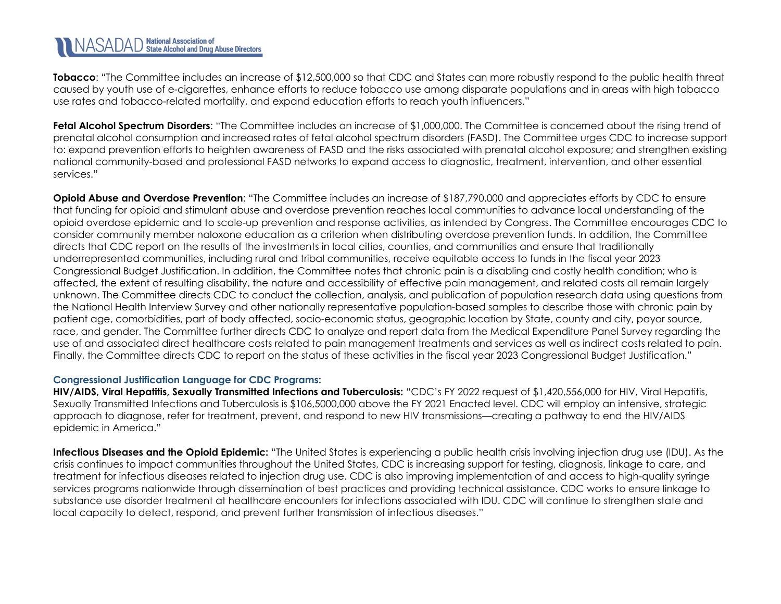**Tobacco**: "The Committee includes an increase of \$12,500,000 so that CDC and States can more robustly respond to the public health threat caused by youth use of e-cigarettes, enhance efforts to reduce tobacco use among disparate populations and in areas with high tobacco use rates and tobacco-related mortality, and expand education efforts to reach youth influencers."

**Fetal Alcohol Spectrum Disorders**: "The Committee includes an increase of \$1,000,000. The Committee is concerned about the rising trend of prenatal alcohol consumption and increased rates of fetal alcohol spectrum disorders (FASD). The Committee urges CDC to increase support to: expand prevention efforts to heighten awareness of FASD and the risks associated with prenatal alcohol exposure; and strengthen existing national community-based and professional FASD networks to expand access to diagnostic, treatment, intervention, and other essential services."

**Opioid Abuse and Overdose Prevention**: "The Committee includes an increase of \$187,790,000 and appreciates efforts by CDC to ensure that funding for opioid and stimulant abuse and overdose prevention reaches local communities to advance local understanding of the opioid overdose epidemic and to scale-up prevention and response activities, as intended by Congress. The Committee encourages CDC to consider community member naloxone education as a criterion when distributing overdose prevention funds. In addition, the Committee directs that CDC report on the results of the investments in local cities, counties, and communities and ensure that traditionally underrepresented communities, including rural and tribal communities, receive equitable access to funds in the fiscal year 2023 Congressional Budget Justification. In addition, the Committee notes that chronic pain is a disabling and costly health condition; who is affected, the extent of resulting disability, the nature and accessibility of effective pain management, and related costs all remain largely unknown. The Committee directs CDC to conduct the collection, analysis, and publication of population research data using questions from the National Health Interview Survey and other nationally representative population-based samples to describe those with chronic pain by patient age, comorbidities, part of body affected, socio-economic status, geographic location by State, county and city, payor source, race, and gender. The Committee further directs CDC to analyze and report data from the Medical Expenditure Panel Survey regarding the use of and associated direct healthcare costs related to pain management treatments and services as well as indirect costs related to pain. Finally, the Committee directs CDC to report on the status of these activities in the fiscal year 2023 Congressional Budget Justification."

### **Congressional Justification Language for CDC Programs:**

**HIV/AIDS, Viral Hepatitis, Sexually Transmitted Infections and Tuberculosis:** "CDC's FY 2022 request of \$1,420,556,000 for HIV, Viral Hepatitis, Sexually Transmitted Infections and Tuberculosis is \$106,5000,000 above the FY 2021 Enacted level. CDC will employ an intensive, strategic approach to diagnose, refer for treatment, prevent, and respond to new HIV transmissions—creating a pathway to end the HIV/AIDS epidemic in America."

**Infectious Diseases and the Opioid Epidemic:** "The United States is experiencing a public health crisis involving injection drug use (IDU). As the crisis continues to impact communities throughout the United States, CDC is increasing support for testing, diagnosis, linkage to care, and treatment for infectious diseases related to injection drug use. CDC is also improving implementation of and access to high-quality syringe services programs nationwide through dissemination of best practices and providing technical assistance. CDC works to ensure linkage to substance use disorder treatment at healthcare encounters for infections associated with IDU. CDC will continue to strengthen state and local capacity to detect, respond, and prevent further transmission of infectious diseases."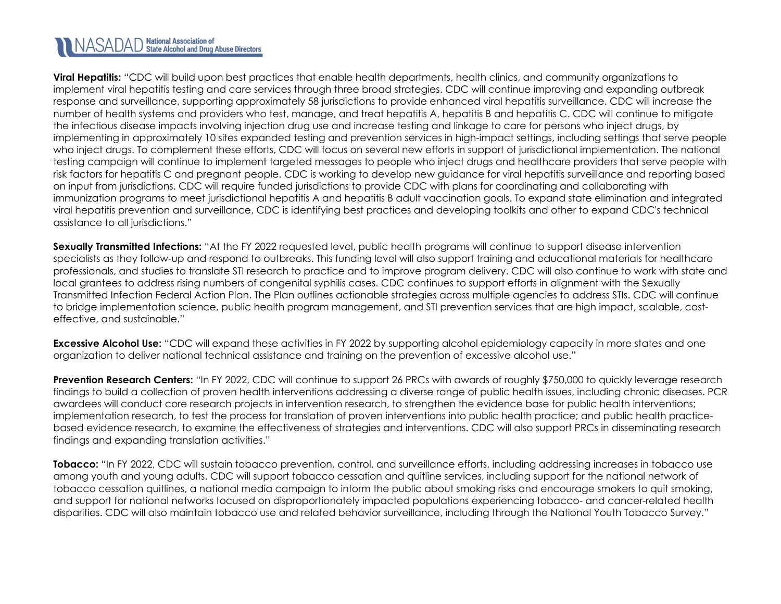**Viral Hepatitis:** "CDC will build upon best practices that enable health departments, health clinics, and community organizations to implement viral hepatitis testing and care services through three broad strategies. CDC will continue improving and expanding outbreak response and surveillance, supporting approximately 58 jurisdictions to provide enhanced viral hepatitis surveillance. CDC will increase the number of health systems and providers who test, manage, and treat hepatitis A, hepatitis B and hepatitis C. CDC will continue to mitigate the infectious disease impacts involving injection drug use and increase testing and linkage to care for persons who inject drugs, by implementing in approximately 10 sites expanded testing and prevention services in high-impact settings, including settings that serve people who inject drugs. To complement these efforts, CDC will focus on several new efforts in support of jurisdictional implementation. The national testing campaign will continue to implement targeted messages to people who inject drugs and healthcare providers that serve people with risk factors for hepatitis C and pregnant people. CDC is working to develop new guidance for viral hepatitis surveillance and reporting based on input from jurisdictions. CDC will require funded jurisdictions to provide CDC with plans for coordinating and collaborating with immunization programs to meet jurisdictional hepatitis A and hepatitis B adult vaccination goals. To expand state elimination and integrated viral hepatitis prevention and surveillance, CDC is identifying best practices and developing toolkits and other to expand CDC's technical assistance to all jurisdictions."

**Sexually Transmitted Infections:** "At the FY 2022 requested level, public health programs will continue to support disease intervention specialists as they follow-up and respond to outbreaks. This funding level will also support training and educational materials for healthcare professionals, and studies to translate STI research to practice and to improve program delivery. CDC will also continue to work with state and local grantees to address rising numbers of congenital syphilis cases. CDC continues to support efforts in alignment with the Sexually Transmitted Infection Federal Action Plan. The Plan outlines actionable strategies across multiple agencies to address STIs. CDC will continue to bridge implementation science, public health program management, and STI prevention services that are high impact, scalable, costeffective, and sustainable."

**Excessive Alcohol Use:** "CDC will expand these activities in FY 2022 by supporting alcohol epidemiology capacity in more states and one organization to deliver national technical assistance and training on the prevention of excessive alcohol use."

**Prevention Research Centers:** "In FY 2022, CDC will continue to support 26 PRCs with awards of roughly \$750,000 to quickly leverage research findings to build a collection of proven health interventions addressing a diverse range of public health issues, including chronic diseases. PCR awardees will conduct core research projects in intervention research, to strengthen the evidence base for public health interventions; implementation research, to test the process for translation of proven interventions into public health practice; and public health practicebased evidence research, to examine the effectiveness of strategies and interventions. CDC will also support PRCs in disseminating research findings and expanding translation activities."

**Tobacco:** "In FY 2022, CDC will sustain tobacco prevention, control, and surveillance efforts, including addressing increases in tobacco use among youth and young adults. CDC will support tobacco cessation and quitline services, including support for the national network of tobacco cessation quitlines, a national media campaign to inform the public about smoking risks and encourage smokers to quit smoking, and support for national networks focused on disproportionately impacted populations experiencing tobacco- and cancer-related health disparities. CDC will also maintain tobacco use and related behavior surveillance, including through the National Youth Tobacco Survey."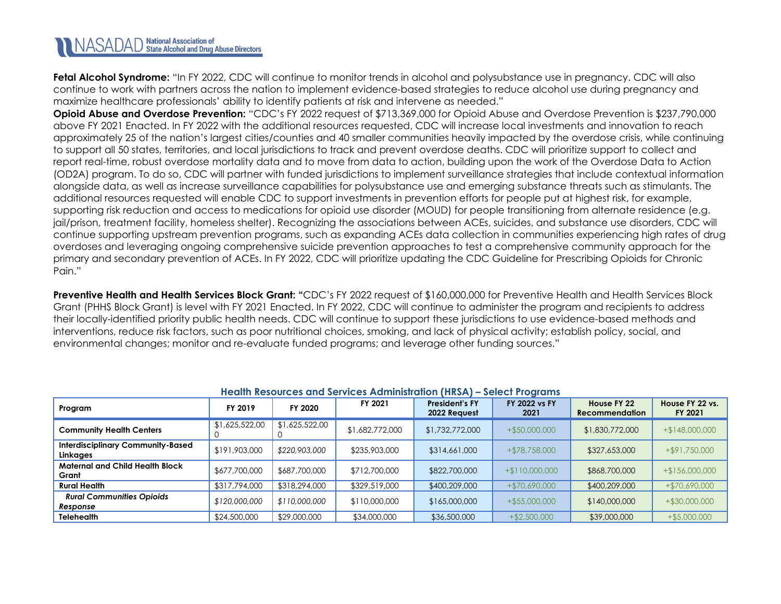**Fetal Alcohol Syndrome:** "In FY 2022, CDC will continue to monitor trends in alcohol and polysubstance use in pregnancy. CDC will also continue to work with partners across the nation to implement evidence-based strategies to reduce alcohol use during pregnancy and maximize healthcare professionals' ability to identify patients at risk and intervene as needed."

**Opioid Abuse and Overdose Prevention:** "CDC's FY 2022 request of \$713,369,000 for Opioid Abuse and Overdose Prevention is \$237,790,000 above FY 2021 Enacted. In FY 2022 with the additional resources requested, CDC will increase local investments and innovation to reach approximately 25 of the nation's largest cities/counties and 40 smaller communities heavily impacted by the overdose crisis, while continuing to support all 50 states, territories, and local jurisdictions to track and prevent overdose deaths. CDC will prioritize support to collect and report real-time, robust overdose mortality data and to move from data to action, building upon the work of the Overdose Data to Action (OD2A) program. To do so, CDC will partner with funded jurisdictions to implement surveillance strategies that include contextual information alongside data, as well as increase surveillance capabilities for polysubstance use and emerging substance threats such as stimulants. The additional resources requested will enable CDC to support investments in prevention efforts for people put at highest risk, for example, supporting risk reduction and access to medications for opioid use disorder (MOUD) for people transitioning from alternate residence (e.g. jail/prison, treatment facility, homeless shelter). Recognizing the associations between ACEs, suicides, and substance use disorders, CDC will continue supporting upstream prevention programs, such as expanding ACEs data collection in communities experiencing high rates of drug overdoses and leveraging ongoing comprehensive suicide prevention approaches to test a comprehensive community approach for the primary and secondary prevention of ACEs. In FY 2022, CDC will prioritize updating the CDC Guideline for Prescribing Opioids for Chronic Pain."

**Preventive Health and Health Services Block Grant:** "CDC's FY 2022 request of \$160,000,000 for Preventive Health and Health Services Block Grant (PHHS Block Grant) is level with FY 2021 Enacted. In FY 2022, CDC will continue to administer the program and recipients to address their locally-identified priority public health needs. CDC will continue to support these jurisdictions to use evidence-based methods and interventions, reduce risk factors, such as poor nutritional choices, smoking, and lack of physical activity; establish policy, social, and environmental changes; monitor and re-evaluate funded programs; and leverage other funding sources."

<span id="page-29-0"></span>

| <b>Health Resources and Services Administration (HRSA) - Select Programs</b> |                |                |                 |                                       |                              |                                      |                            |  |  |
|------------------------------------------------------------------------------|----------------|----------------|-----------------|---------------------------------------|------------------------------|--------------------------------------|----------------------------|--|--|
| Program                                                                      | FY 2019        | FY 2020        | FY 2021         | <b>President's FY</b><br>2022 Request | <b>FY 2022 vs FY</b><br>2021 | House FY 22<br><b>Recommendation</b> | House FY 22 vs.<br>FY 2021 |  |  |
| <b>Community Health Centers</b>                                              | \$1,625,522,00 | \$1,625,522,00 | \$1,682,772,000 | \$1,732,772,000                       | $+$ \$50,000,000             | \$1,830,772,000                      | $+ $148,000,000$           |  |  |
| <b>Interdisciplinary Community-Based</b><br>Linkages                         | \$191,903,000  | \$220,903,000  | \$235,903,000   | \$314,661,000                         | +\$78,758,000                | \$327,653,000                        | +\$91,750,000              |  |  |
| <b>Maternal and Child Health Block</b><br>Grant                              | \$677,700,000  | \$687,700,000  | \$712,700,000   | \$822,700,000                         | $+ $110,000,000$             | \$868,700,000                        | $+ $156,000,000$           |  |  |
| <b>Rural Health</b>                                                          | \$317,794,000  | \$318,294,000  | \$329,519,000   | \$400,209,000                         | +\$70,690,000                | \$400,209,000                        | +\$70,690,000              |  |  |
| <b>Rural Communities Opioids</b><br>Response                                 | \$120,000,000  | \$110,000,000  | \$110,000,000   | \$165,000,000                         | $+$ \$55,000,000             | \$140,000,000                        | $+$ \$30,000,000           |  |  |
| <b>Telehealth</b>                                                            | \$24,500,000   | \$29,000,000   | \$34,000,000    | \$36,500,000                          | $+ $2,500,000$               | \$39,000,000                         | $+$ \$5,000,000            |  |  |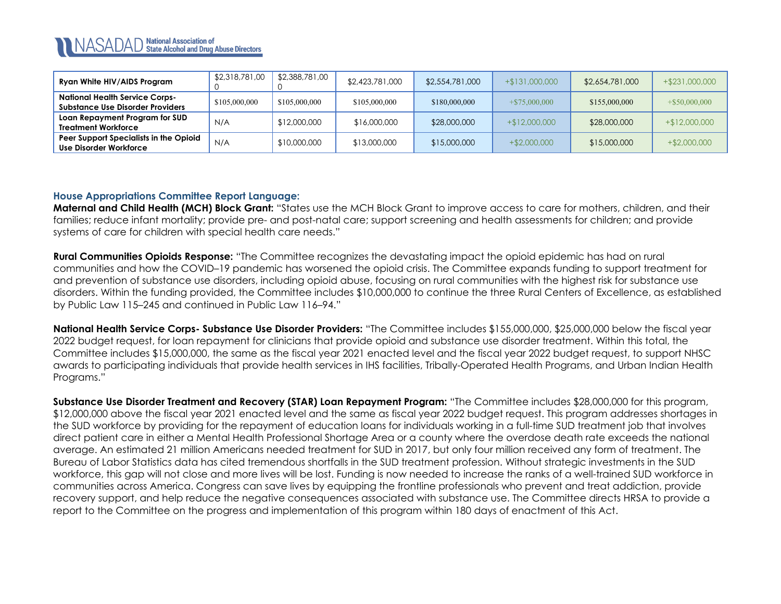

| Ryan White HIV/AIDS Program                                                      | \$2,318,781,00 | \$2,388,781,00 | \$2,423,781,000 | \$2,554,781,000 | $+ $131,000,000$ | \$2,654,781,000 | +\$231,000,000   |
|----------------------------------------------------------------------------------|----------------|----------------|-----------------|-----------------|------------------|-----------------|------------------|
| <b>National Health Service Corps-</b><br><b>Substance Use Disorder Providers</b> | \$105,000,000  | \$105,000,000  | \$105,000,000   | \$180,000,000   | $+$ \$75,000,000 | \$155,000,000   | $+$ \$50,000,000 |
| Loan Repayment Program for SUD<br><b>Treatment Workforce</b>                     | N/A            | \$12,000,000   | \$16,000,000    | \$28,000,000    | $+$12,000,000$   | \$28,000,000    | +\$12,000,000    |
| Peer Support Specialists in the Opioid<br>Use Disorder Workforce                 | N/A            | \$10,000,000   | \$13,000,000    | \$15,000,000    | $+$ \$2,000,000  | \$15,000,000    | $+$ \$2,000,000  |

### **House Appropriations Committee Report Language:**

**Maternal and Child Health (MCH) Block Grant:** "States use the MCH Block Grant to improve access to care for mothers, children, and their families; reduce infant mortality; provide pre- and post-natal care; support screening and health assessments for children; and provide systems of care for children with special health care needs."

**Rural Communities Opioids Response:** "The Committee recognizes the devastating impact the opioid epidemic has had on rural communities and how the COVID–19 pandemic has worsened the opioid crisis. The Committee expands funding to support treatment for and prevention of substance use disorders, including opioid abuse, focusing on rural communities with the highest risk for substance use disorders. Within the funding provided, the Committee includes \$10,000,000 to continue the three Rural Centers of Excellence, as established by Public Law 115–245 and continued in Public Law 116–94."

**National Health Service Corps- Substance Use Disorder Providers:** "The Committee includes \$155,000,000, \$25,000,000 below the fiscal year 2022 budget request, for loan repayment for clinicians that provide opioid and substance use disorder treatment. Within this total, the Committee includes \$15,000,000, the same as the fiscal year 2021 enacted level and the fiscal year 2022 budget request, to support NHSC awards to participating individuals that provide health services in IHS facilities, Tribally-Operated Health Programs, and Urban Indian Health Programs."

**Substance Use Disorder Treatment and Recovery (STAR) Loan Repayment Program:** "The Committee includes \$28,000,000 for this program, \$12,000,000 above the fiscal year 2021 enacted level and the same as fiscal year 2022 budget request. This program addresses shortages in the SUD workforce by providing for the repayment of education loans for individuals working in a full-time SUD treatment job that involves direct patient care in either a Mental Health Professional Shortage Area or a county where the overdose death rate exceeds the national average. An estimated 21 million Americans needed treatment for SUD in 2017, but only four million received any form of treatment. The Bureau of Labor Statistics data has cited tremendous shortfalls in the SUD treatment profession. Without strategic investments in the SUD workforce, this gap will not close and more lives will be lost. Funding is now needed to increase the ranks of a well-trained SUD workforce in communities across America. Congress can save lives by equipping the frontline professionals who prevent and treat addiction, provide recovery support, and help reduce the negative consequences associated with substance use. The Committee directs HRSA to provide a report to the Committee on the progress and implementation of this program within 180 days of enactment of this Act.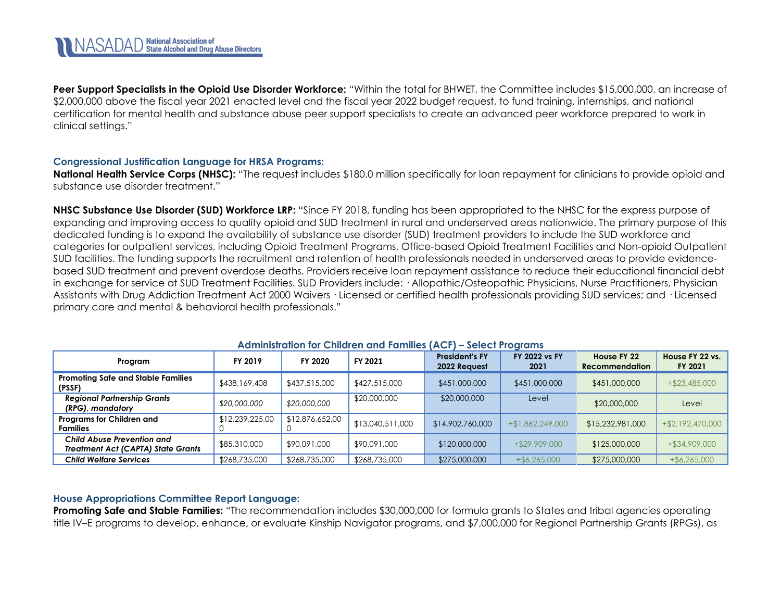**Peer Support Specialists in the Opioid Use Disorder Workforce:** "Within the total for BHWET, the Committee includes \$15,000,000, an increase of \$2,000,000 above the fiscal year 2021 enacted level and the fiscal year 2022 budget request, to fund training, internships, and national certification for mental health and substance abuse peer support specialists to create an advanced peer workforce prepared to work in clinical settings."

### **Congressional Justification Language for HRSA Programs:**

**National Health Service Corps (NHSC):** "The request includes \$180.0 million specifically for loan repayment for clinicians to provide opioid and substance use disorder treatment."

**NHSC Substance Use Disorder (SUD) Workforce LRP:** "Since FY 2018, funding has been appropriated to the NHSC for the express purpose of expanding and improving access to quality opioid and SUD treatment in rural and underserved areas nationwide. The primary purpose of this dedicated funding is to expand the availability of substance use disorder (SUD) treatment providers to include the SUD workforce and categories for outpatient services, including Opioid Treatment Programs, Office-based Opioid Treatment Facilities and Non-opioid Outpatient SUD facilities. The funding supports the recruitment and retention of health professionals needed in underserved areas to provide evidencebased SUD treatment and prevent overdose deaths. Providers receive loan repayment assistance to reduce their educational financial debt in exchange for service at SUD Treatment Facilities. SUD Providers include: · Allopathic/Osteopathic Physicians, Nurse Practitioners, Physician Assistants with Drug Addiction Treatment Act 2000 Waivers · Licensed or certified health professionals providing SUD services; and · Licensed primary care and mental & behavioral health professionals."

| Program                                                                 | FY 2019         | FY 2020         | FY 2021          | <b>President's FY</b><br>2022 Request | FY 2022 vs FY<br>2021 | House FY 22<br><b>Recommendation</b> | House FY 22 vs.<br>FY 2021 |
|-------------------------------------------------------------------------|-----------------|-----------------|------------------|---------------------------------------|-----------------------|--------------------------------------|----------------------------|
| <b>Promoting Safe and Stable Families</b><br>(PSSF)                     | \$438,169,408   | \$437,515,000   | \$427,515,000    | \$451,000,000                         | \$451,000,000         | \$451,000,000                        | $+ $23,485,000$            |
| <b>Regional Partnership Grants</b><br>(RPG), mandatory                  | \$20,000,000    | \$20,000,000    | \$20,000,000     | \$20,000,000                          | Level                 | \$20,000,000                         | Level                      |
| Programs for Children and<br><b>Families</b>                            | \$12,239,225,00 | \$12,876,652,00 | \$13,040,511,000 | \$14,902,760,000                      | $+$ \$1,862,249,000   | \$15,232,981,000                     | +\$2,192,470,000           |
| Child Abuse Prevention and<br><b>Treatment Act (CAPTA) State Grants</b> | \$85,310,000    | \$90,091,000    | \$90,091,000     | \$120,000,000                         | $+$ \$29,909,000      | \$125,000,000                        | $+$ \$34,909,000           |
| Child Welfare Services                                                  | \$268,735,000   | \$268,735,000   | \$268,735,000    | \$275,000,000                         | $+$ \$6,265,000       | \$275,000,000                        | $+$ \$6,265,000            |

#### **Administration for Children and Families (ACF) – Select Programs**

### **House Appropriations Committee Report Language:**

**Promoting Safe and Stable Families:** "The recommendation includes \$30,000,000 for formula grants to States and tribal agencies operating title IV–E programs to develop, enhance, or evaluate Kinship Navigator programs, and \$7,000,000 for Regional Partnership Grants (RPGs), as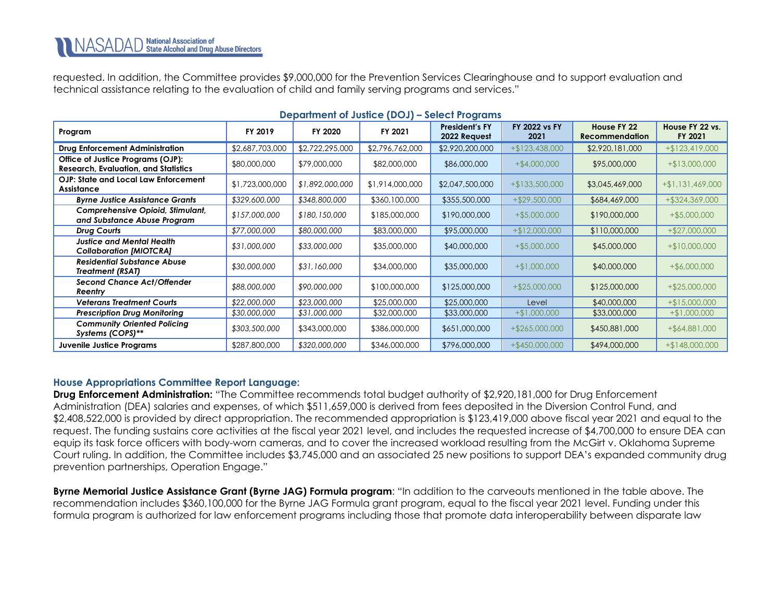requested. In addition, the Committee provides \$9,000,000 for the Prevention Services Clearinghouse and to support evaluation and technical assistance relating to the evaluation of child and family serving programs and services."

<span id="page-32-0"></span>

| Program                                                                          | FY 2019         | FY 2020         | FY 2021         | <b>President's FY</b><br>2022 Request | FY 2022 vs FY<br>2021 | House FY 22<br><b>Recommendation</b> | House FY 22 vs.<br>FY 2021 |  |  |
|----------------------------------------------------------------------------------|-----------------|-----------------|-----------------|---------------------------------------|-----------------------|--------------------------------------|----------------------------|--|--|
| <b>Drug Enforcement Administration</b>                                           | \$2,687,703,000 | \$2,722,295,000 | \$2,796,762,000 | \$2,920,200,000                       | $+ $123,438,000$      | \$2,920,181,000                      | $+ $123,419,000$           |  |  |
| Office of Justice Programs (OJP):<br><b>Research, Evaluation, and Statistics</b> | \$80,000,000    | \$79,000,000    | \$82,000,000    | \$86,000,000                          | $+$ \$4,000,000       | \$95,000,000                         | $+ $13,000,000$            |  |  |
| OJP: State and Local Law Enforcement<br>Assistance                               | \$1,723,000,000 | \$1,892,000,000 | \$1,914,000,000 | \$2,047,500,000                       | $+$ \$133,500,000     | \$3,045,469,000                      | $+ $1,131,469,000$         |  |  |
| <b>Byrne Justice Assistance Grants</b>                                           | \$329,600,000   | \$348,800,000   | \$360,100,000   | \$355,500,000                         | $+$ \$29,500,000      | \$684,469,000                        | +\$324,369,000             |  |  |
| Comprehensive Opioid, Stimulant,<br>and Substance Abuse Program                  | \$157,000,000   | \$180,150,000   | \$185,000,000   | \$190,000,000                         | $+$ \$5,000,000       | \$190,000,000                        | $+$ \$5,000,000            |  |  |
| Drug Courts                                                                      | \$77,000,000    | \$80,000,000    | \$83,000,000    | \$95,000,000                          | $+$12,000,000$        | \$110,000,000                        | $+$ \$27,000,000           |  |  |
| Justice and Mental Health<br><b>Collaboration [MIOTCRA]</b>                      | \$31,000,000    | \$33,000,000    | \$35,000,000    | \$40,000,000                          | $+$ \$5,000,000       | \$45,000,000                         | $+$10,000,000$             |  |  |
| <b>Residential Substance Abuse</b><br><b>Treatment (RSAT)</b>                    | \$30,000,000    | \$31,160,000    | \$34,000,000    | \$35,000,000                          | $+ $1,000,000$        | \$40,000,000                         | $+$ \$6,000,000            |  |  |
| <b>Second Chance Act/Offender</b><br>Reentry                                     | \$88,000,000    | \$90,000,000    | \$100,000,000   | \$125,000,000                         | $+$ \$25,000,000      | \$125,000,000                        | $+$ \$25,000,000           |  |  |
| <b>Veterans Treatment Courts</b>                                                 | \$22,000,000    | \$23,000,000    | \$25,000,000    | \$25,000,000                          | Level                 | \$40,000,000                         | $+ $15,000,000$            |  |  |
| <b>Prescription Drug Monitoring</b>                                              | \$30,000,000    | \$31,000,000    | \$32,000,000    | \$33,000,000                          | $+$ \$1,000,000       | \$33,000,000                         | $+$ \$1,000,000            |  |  |
| <b>Community Oriented Policing</b><br>Systems (COPS)**                           | \$303,500,000   | \$343,000,000   | \$386,000,000   | \$651,000,000                         | $+$ \$265,000,000     | \$450,881,000                        | $+$ \$64,881,000           |  |  |
| Juvenile Justice Programs                                                        | \$287,800,000   | \$320,000,000   | \$346,000,000   | \$796,000,000                         | $+$ \$450,000,000     | \$494,000,000                        | $+$ \$148,000,000          |  |  |

#### **Department of Justice (DOJ) – Select Programs**

### **House Appropriations Committee Report Language:**

**Drug Enforcement Administration:** "The Committee recommends total budget authority of \$2,920,181,000 for Drug Enforcement Administration (DEA) salaries and expenses, of which \$511,659,000 is derived from fees deposited in the Diversion Control Fund, and \$2,408,522,000 is provided by direct appropriation. The recommended appropriation is \$123,419,000 above fiscal year 2021 and equal to the request. The funding sustains core activities at the fiscal year 2021 level, and includes the requested increase of \$4,700,000 to ensure DEA can equip its task force officers with body-worn cameras, and to cover the increased workload resulting from the McGirt v. Oklahoma Supreme Court ruling. In addition, the Committee includes \$3,745,000 and an associated 25 new positions to support DEA's expanded community drug prevention partnerships, Operation Engage."

**Byrne Memorial Justice Assistance Grant (Byrne JAG) Formula program**: "In addition to the carveouts mentioned in the table above. The recommendation includes \$360,100,000 for the Byrne JAG Formula grant program, equal to the fiscal year 2021 level. Funding under this formula program is authorized for law enforcement programs including those that promote data interoperability between disparate law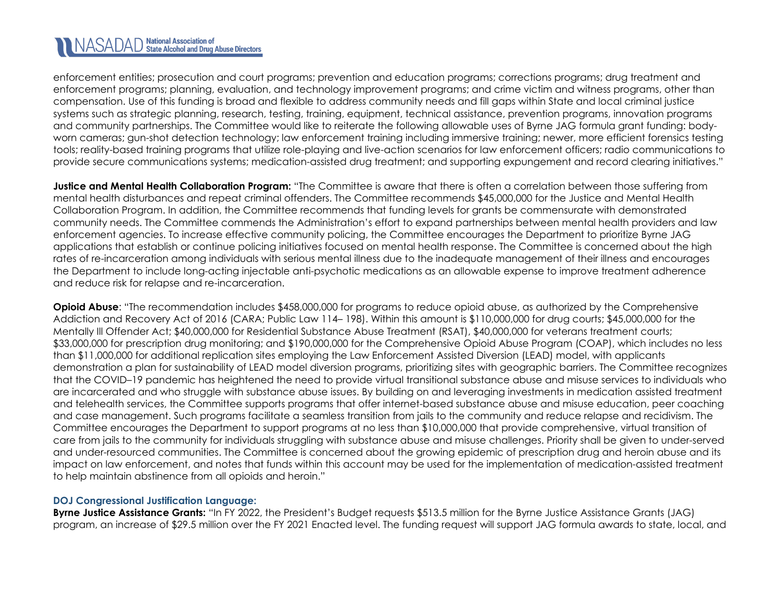enforcement entities; prosecution and court programs; prevention and education programs; corrections programs; drug treatment and enforcement programs; planning, evaluation, and technology improvement programs; and crime victim and witness programs, other than compensation. Use of this funding is broad and flexible to address community needs and fill gaps within State and local criminal justice systems such as strategic planning, research, testing, training, equipment, technical assistance, prevention programs, innovation programs and community partnerships. The Committee would like to reiterate the following allowable uses of Byrne JAG formula grant funding: bodyworn cameras; gun-shot detection technology; law enforcement training including immersive training; newer, more efficient forensics testing tools; reality-based training programs that utilize role-playing and live-action scenarios for law enforcement officers; radio communications to provide secure communications systems; medication-assisted drug treatment; and supporting expungement and record clearing initiatives."

**Justice and Mental Health Collaboration Program:** "The Committee is aware that there is often a correlation between those suffering from mental health disturbances and repeat criminal offenders. The Committee recommends \$45,000,000 for the Justice and Mental Health Collaboration Program. In addition, the Committee recommends that funding levels for grants be commensurate with demonstrated community needs. The Committee commends the Administration's effort to expand partnerships between mental health providers and law enforcement agencies. To increase effective community policing, the Committee encourages the Department to prioritize Byrne JAG applications that establish or continue policing initiatives focused on mental health response. The Committee is concerned about the high rates of re-incarceration among individuals with serious mental illness due to the inadequate management of their illness and encourages the Department to include long-acting injectable anti-psychotic medications as an allowable expense to improve treatment adherence and reduce risk for relapse and re-incarceration.

**Opioid Abuse**: "The recommendation includes \$458,000,000 for programs to reduce opioid abuse, as authorized by the Comprehensive Addiction and Recovery Act of 2016 (CARA; Public Law 114– 198). Within this amount is \$110,000,000 for drug courts; \$45,000,000 for the Mentally Ill Offender Act; \$40,000,000 for Residential Substance Abuse Treatment (RSAT), \$40,000,000 for veterans treatment courts; \$33,000,000 for prescription drug monitoring; and \$190,000,000 for the Comprehensive Opioid Abuse Program (COAP), which includes no less than \$11,000,000 for additional replication sites employing the Law Enforcement Assisted Diversion (LEAD) model, with applicants demonstration a plan for sustainability of LEAD model diversion programs, prioritizing sites with geographic barriers. The Committee recognizes that the COVID–19 pandemic has heightened the need to provide virtual transitional substance abuse and misuse services to individuals who are incarcerated and who struggle with substance abuse issues. By building on and leveraging investments in medication assisted treatment and telehealth services, the Committee supports programs that offer internet-based substance abuse and misuse education, peer coaching and case management. Such programs facilitate a seamless transition from jails to the community and reduce relapse and recidivism. The Committee encourages the Department to support programs at no less than \$10,000,000 that provide comprehensive, virtual transition of care from jails to the community for individuals struggling with substance abuse and misuse challenges. Priority shall be given to under-served and under-resourced communities. The Committee is concerned about the growing epidemic of prescription drug and heroin abuse and its impact on law enforcement, and notes that funds within this account may be used for the implementation of medication-assisted treatment to help maintain abstinence from all opioids and heroin."

### **DOJ Congressional Justification Language:**

**Byrne Justice Assistance Grants:** "In FY 2022, the President's Budget requests \$513.5 million for the Byrne Justice Assistance Grants (JAG) program, an increase of \$29.5 million over the FY 2021 Enacted level. The funding request will support JAG formula awards to state, local, and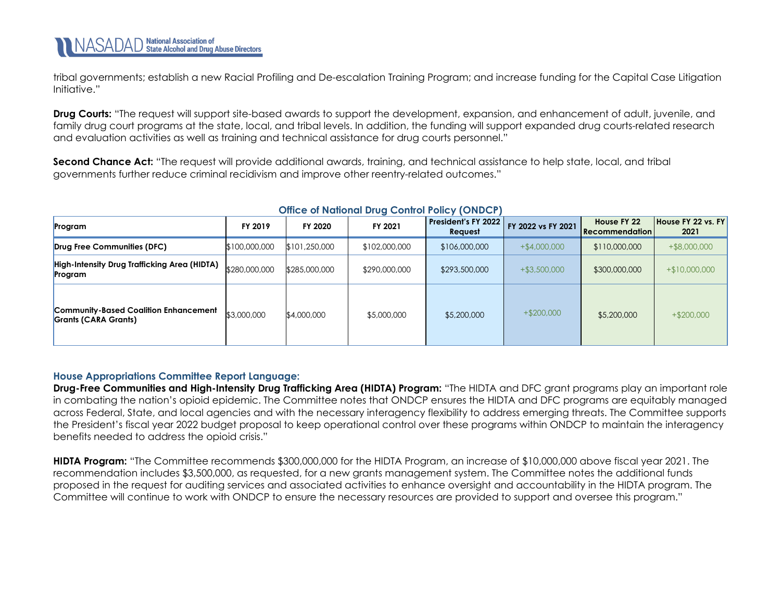tribal governments; establish a new Racial Profiling and De-escalation Training Program; and increase funding for the Capital Case Litigation Initiative."

**Drug Courts:** "The request will support site-based awards to support the development, expansion, and enhancement of adult, juvenile, and family drug court programs at the state, local, and tribal levels. In addition, the funding will support expanded drug courts-related research and evaluation activities as well as training and technical assistance for drug courts personnel."

**Second Chance Act:** "The request will provide additional awards, training, and technical assistance to help state, local, and tribal governments further reduce criminal recidivism and improve other reentry-related outcomes."

<span id="page-34-0"></span>

| Program                                                              | FY 2019       | FY 2020       | FY 2021       | President's FY 2022<br>Request | FY 2022 vs FY 2021 | House FY 22<br><b>Recommendation</b> | House FY 22 vs. FY<br>2021 |
|----------------------------------------------------------------------|---------------|---------------|---------------|--------------------------------|--------------------|--------------------------------------|----------------------------|
| Drug Free Communities (DFC)                                          | \$100,000,000 | \$101,250,000 | \$102,000,000 | \$106,000,000                  | $+$ \$4,000,000    | \$110,000,000                        | $+$ \$8,000,000            |
| High-Intensity Drug Trafficking Area (HIDTA)<br>Program              | \$280,000,000 | \$285,000,000 | \$290,000,000 | \$293,500,000                  | $+$ \$3,500,000    | \$300,000,000                        | $+$10,000,000$             |
| <b>Community-Based Coalition Enhancement</b><br>Grants (CARA Grants) | \$3,000,000   | \$4,000,000   | \$5,000,000   | \$5,200,000                    | $+$ \$200,000      | \$5,200,000                          | $+$ \$200,000              |

### **Office of National Drug Control Policy (ONDCP)**

### **House Appropriations Committee Report Language:**

**Drug-Free Communities and High-Intensity Drug Trafficking Area (HIDTA) Program:** "The HIDTA and DFC grant programs play an important role in combating the nation's opioid epidemic. The Committee notes that ONDCP ensures the HIDTA and DFC programs are equitably managed across Federal, State, and local agencies and with the necessary interagency flexibility to address emerging threats. The Committee supports the President's fiscal year 2022 budget proposal to keep operational control over these programs within ONDCP to maintain the interagency benefits needed to address the opioid crisis."

**HIDTA Program:** "The Committee recommends \$300,000,000 for the HIDTA Program, an increase of \$10,000,000 above fiscal year 2021. The recommendation includes \$3,500,000, as requested, for a new grants management system. The Committee notes the additional funds proposed in the request for auditing services and associated activities to enhance oversight and accountability in the HIDTA program. The Committee will continue to work with ONDCP to ensure the necessary resources are provided to support and oversee this program."